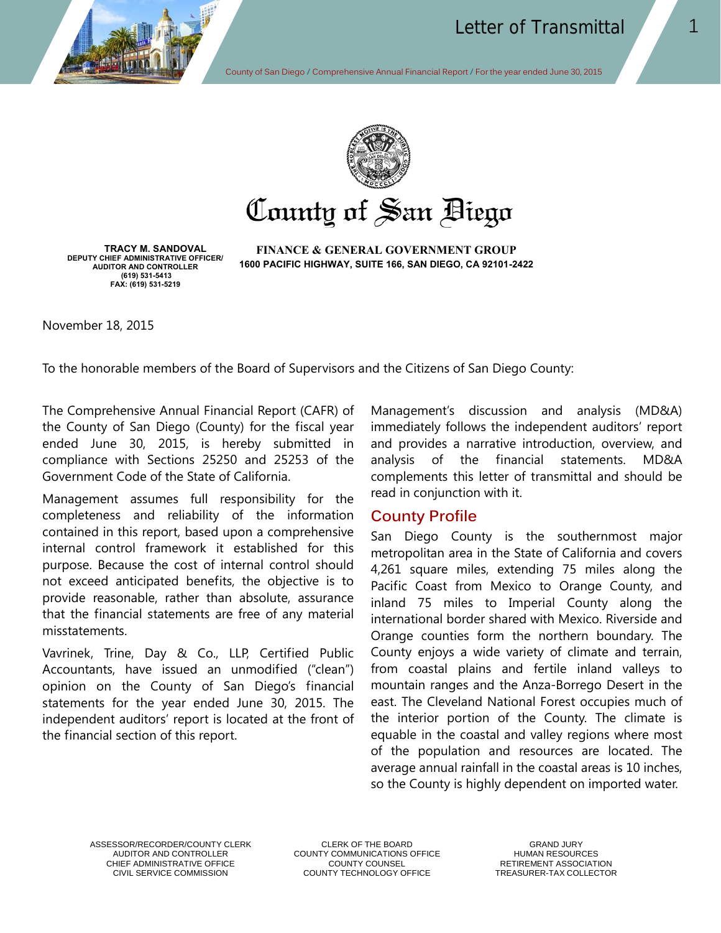



# County of San Biego

**TRACY M. SANDOVAL DEPUTY CHIEF ADMINISTRATIVE OFFICER/ AUDITOR AND CONTROLLER (619) 531-5413 FAX: (619) 531-5219** 

**FINANCE & GENERAL GOVERNMENT GROUP 1600 PACIFIC HIGHWAY, SUITE 166, SAN DIEGO, CA 92101-2422** 

November 18, 2015

To the honorable members of the Board of Supervisors and the Citizens of San Diego County:

The Comprehensive Annual Financial Report (CAFR) of the County of San Diego (County) for the fiscal year ended June 30, 2015, is hereby submitted in compliance with Sections 25250 and 25253 of the Government Code of the State of California.

Management assumes full responsibility for the completeness and reliability of the information contained in this report, based upon a comprehensive internal control framework it established for this purpose. Because the cost of internal control should not exceed anticipated benefits, the objective is to provide reasonable, rather than absolute, assurance that the financial statements are free of any material misstatements.

Vavrinek, Trine, Day & Co., LLP, Certified Public Accountants, have issued an unmodified ("clean") opinion on the County of San Diego's financial statements for the year ended June 30, 2015. The independent auditors' report is located at the front of the financial section of this report.

Management's discussion and analysis (MD&A) immediately follows the independent auditors' report and provides a narrative introduction, overview, and analysis of the financial statements. MD&A complements this letter of transmittal and should be read in conjunction with it.

#### **County Profile**

San Diego County is the southernmost major metropolitan area in the State of California and covers 4,261 square miles, extending 75 miles along the Pacific Coast from Mexico to Orange County, and inland 75 miles to Imperial County along the international border shared with Mexico. Riverside and Orange counties form the northern boundary. The County enjoys a wide variety of climate and terrain, from coastal plains and fertile inland valleys to mountain ranges and the Anza-Borrego Desert in the east. The Cleveland National Forest occupies much of the interior portion of the County. The climate is equable in the coastal and valley regions where most of the population and resources are located. The average annual rainfall in the coastal areas is 10 inches, so the County is highly dependent on imported water.

ASSESSOR/RECORDER/COUNTY CLERK CLERK CLERK OF THE BOARD<br>AUDITOR AND CONTROLLER COUNTY COMMUNICATIONS OFFICE THE HUMAN RESOURCES

COUNTY COMMUNICATIONS OFFICE CHIEF ADMINISTRATIVE OFFICE COUNTY COUNTY COUNSEL THE RETIREMENT ASSOCIATION<br>COUNTY TECHNOLOGY OFFICE CREASURER-TAX COLLECTOR COUNTY TECHNOLOGY OFFICE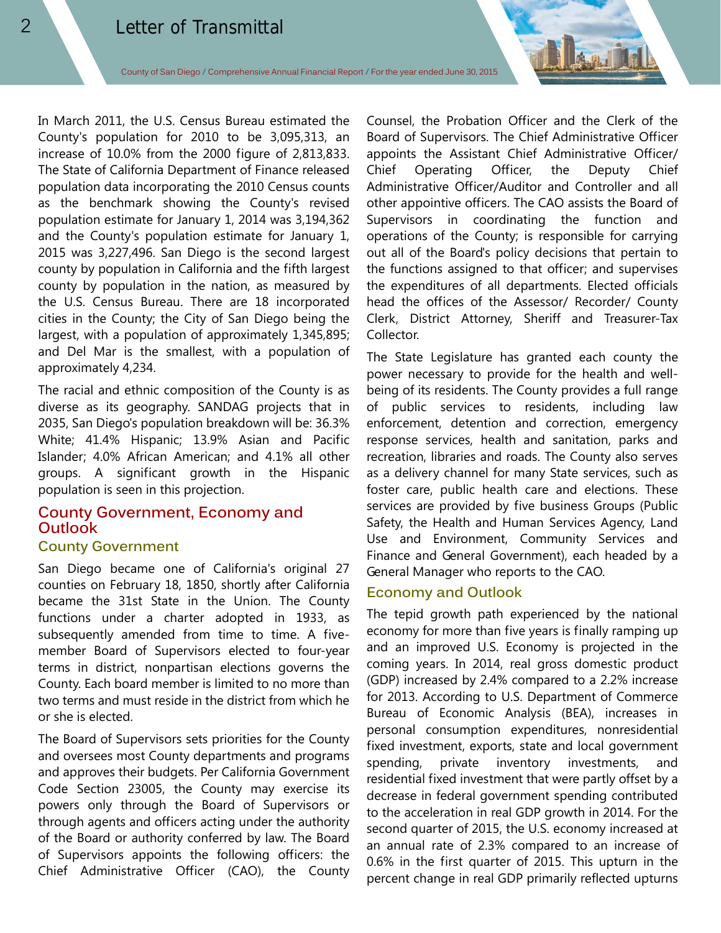In March 2011, the U.S. Census Bureau estimated the County's population for 2010 to be 3,095,313, an increase of 10.0% from the 2000 figure of 2,813,833. The State of California Department of Finance released population data incorporating the 2010 Census counts as the benchmark showing the County's revised population estimate for January 1, 2014 was 3,194,362 and the County's population estimate for January 1, 2015 was 3,227,496. San Diego is the second largest county by population in California and the fifth largest county by population in the nation, as measured by the U.S. Census Bureau. There are 18 incorporated cities in the County; the City of San Diego being the largest, with a population of approximately 1,345,895; and Del Mar is the smallest, with a population of approximately 4,234.

The racial and ethnic composition of the County is as diverse as its geography. SANDAG projects that in 2035, San Diego's population breakdown will be: 36.3% White; 41.4% Hispanic; 13.9% Asian and Pacific Islander; 4.0% African American; and 4.1% all other groups. A significant growth in the Hispanic population is seen in this projection.

# **County Government, Economy and Outlook**

#### **County Government**

San Diego became one of California's original 27 counties on February 18, 1850, shortly after California became the 31st State in the Union. The County functions under a charter adopted in 1933, as subsequently amended from time to time. A fivemember Board of Supervisors elected to four-year terms in district, nonpartisan elections governs the County. Each board member is limited to no more than two terms and must reside in the district from which he or she is elected.

The Board of Supervisors sets priorities for the County and oversees most County departments and programs and approves their budgets. Per California Government Code Section 23005, the County may exercise its powers only through the Board of Supervisors or through agents and officers acting under the authority of the Board or authority conferred by law. The Board of Supervisors appoints the following officers: the Chief Administrative Officer (CAO), the County

Counsel, the Probation Officer and the Clerk of the Board of Supervisors. The Chief Administrative Officer appoints the Assistant Chief Administrative Officer/ Chief Operating Officer, the Deputy Chief Administrative Officer/Auditor and Controller and all other appointive officers. The CAO assists the Board of Supervisors in coordinating the function and operations of the County; is responsible for carrying out all of the Board's policy decisions that pertain to the functions assigned to that officer; and supervises the expenditures of all departments. Elected officials head the offices of the Assessor/ Recorder/ County Clerk, District Attorney, Sheriff and Treasurer-Tax Collector.

The State Legislature has granted each county the power necessary to provide for the health and wellbeing of its residents. The County provides a full range of public services to residents, including law enforcement, detention and correction, emergency response services, health and sanitation, parks and recreation, libraries and roads. The County also serves as a delivery channel for many State services, such as foster care, public health care and elections. These services are provided by five business Groups (Public Safety, the Health and Human Services Agency, Land Use and Environment, Community Services and Finance and General Government), each headed by a General Manager who reports to the CAO.

#### **Economy and Outlook**

The tepid growth path experienced by the national economy for more than five years is finally ramping up and an improved U.S. Economy is projected in the coming years. In 2014, real gross domestic product (GDP) increased by 2.4% compared to a 2.2% increase for 2013. According to U.S. Department of Commerce Bureau of Economic Analysis (BEA), increases in personal consumption expenditures, nonresidential fixed investment, exports, state and local government spending, private inventory investments, and residential fixed investment that were partly offset by a decrease in federal government spending contributed to the acceleration in real GDP growth in 2014. For the second quarter of 2015, the U.S. economy increased at an annual rate of 2.3% compared to an increase of 0.6% in the first quarter of 2015. This upturn in the percent change in real GDP primarily reflected upturns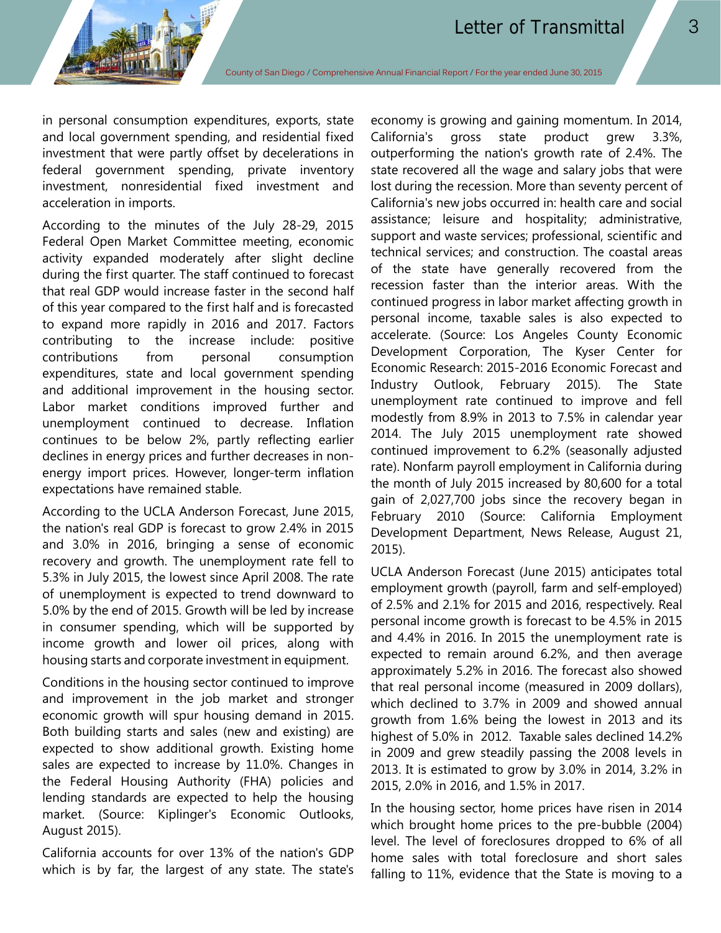in personal consumption expenditures, exports, state and local government spending, and residential fixed investment that were partly offset by decelerations in federal government spending, private inventory investment, nonresidential fixed investment and acceleration in imports.

According to the minutes of the July 28-29, 2015 Federal Open Market Committee meeting, economic activity expanded moderately after slight decline during the first quarter. The staff continued to forecast that real GDP would increase faster in the second half of this year compared to the first half and is forecasted to expand more rapidly in 2016 and 2017. Factors contributing to the increase include: positive contributions from personal consumption expenditures, state and local government spending and additional improvement in the housing sector. Labor market conditions improved further and unemployment continued to decrease. Inflation continues to be below 2%, partly reflecting earlier declines in energy prices and further decreases in nonenergy import prices. However, longer-term inflation expectations have remained stable.

According to the UCLA Anderson Forecast, June 2015, the nation's real GDP is forecast to grow 2.4% in 2015 and 3.0% in 2016, bringing a sense of economic recovery and growth. The unemployment rate fell to 5.3% in July 2015, the lowest since April 2008. The rate of unemployment is expected to trend downward to 5.0% by the end of 2015. Growth will be led by increase in consumer spending, which will be supported by income growth and lower oil prices, along with housing starts and corporate investment in equipment.

Conditions in the housing sector continued to improve and improvement in the job market and stronger economic growth will spur housing demand in 2015. Both building starts and sales (new and existing) are expected to show additional growth. Existing home sales are expected to increase by 11.0%. Changes in the Federal Housing Authority (FHA) policies and lending standards are expected to help the housing market. (Source: Kiplinger's Economic Outlooks, August 2015).

California accounts for over 13% of the nation's GDP which is by far, the largest of any state. The state's economy is growing and gaining momentum. In 2014, California's gross state product grew 3.3%, outperforming the nation's growth rate of 2.4%. The state recovered all the wage and salary jobs that were lost during the recession. More than seventy percent of California's new jobs occurred in: health care and social assistance; leisure and hospitality; administrative, support and waste services; professional, scientific and technical services; and construction. The coastal areas of the state have generally recovered from the recession faster than the interior areas. With the continued progress in labor market affecting growth in personal income, taxable sales is also expected to accelerate. (Source: Los Angeles County Economic Development Corporation, The Kyser Center for Economic Research: 2015-2016 Economic Forecast and Industry Outlook, February 2015). The State unemployment rate continued to improve and fell modestly from 8.9% in 2013 to 7.5% in calendar year 2014. The July 2015 unemployment rate showed continued improvement to 6.2% (seasonally adjusted rate). Nonfarm payroll employment in California during the month of July 2015 increased by 80,600 for a total gain of 2,027,700 jobs since the recovery began in February 2010 (Source: California Employment Development Department, News Release, August 21, 2015).

UCLA Anderson Forecast (June 2015) anticipates total employment growth (payroll, farm and self-employed) of 2.5% and 2.1% for 2015 and 2016, respectively. Real personal income growth is forecast to be 4.5% in 2015 and 4.4% in 2016. In 2015 the unemployment rate is expected to remain around 6.2%, and then average approximately 5.2% in 2016. The forecast also showed that real personal income (measured in 2009 dollars), which declined to 3.7% in 2009 and showed annual growth from 1.6% being the lowest in 2013 and its highest of 5.0% in 2012. Taxable sales declined 14.2% in 2009 and grew steadily passing the 2008 levels in 2013. It is estimated to grow by 3.0% in 2014, 3.2% in 2015, 2.0% in 2016, and 1.5% in 2017.

In the housing sector, home prices have risen in 2014 which brought home prices to the pre-bubble (2004) level. The level of foreclosures dropped to 6% of all home sales with total foreclosure and short sales falling to 11%, evidence that the State is moving to a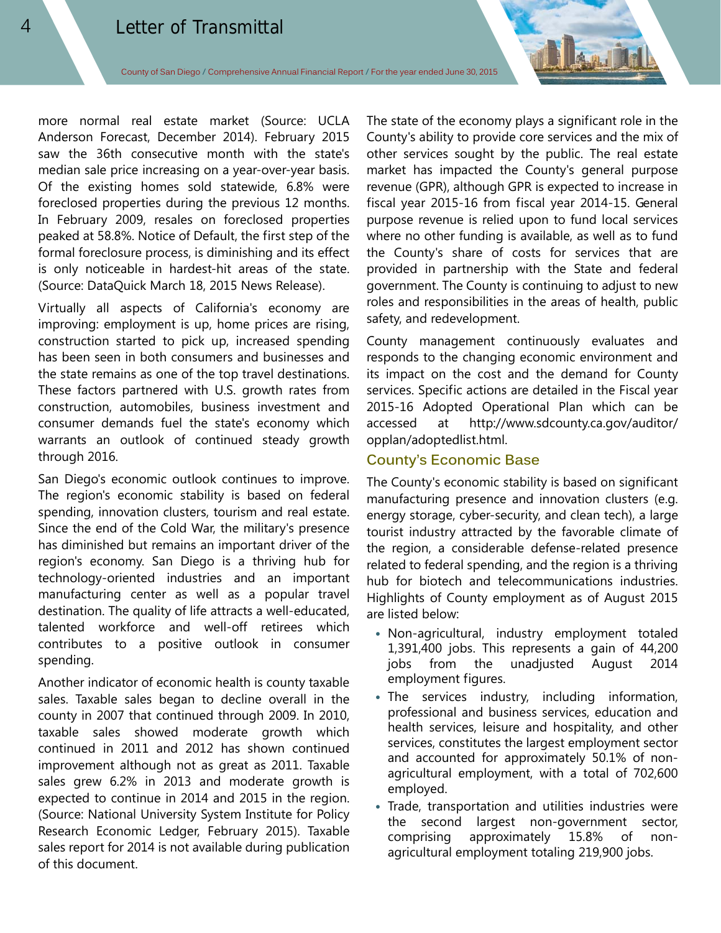more normal real estate market (Source: UCLA Anderson Forecast, December 2014). February 2015 saw the 36th consecutive month with the state's median sale price increasing on a year-over-year basis. Of the existing homes sold statewide, 6.8% were foreclosed properties during the previous 12 months. In February 2009, resales on foreclosed properties peaked at 58.8%. Notice of Default, the first step of the formal foreclosure process, is diminishing and its effect is only noticeable in hardest-hit areas of the state. (Source: DataQuick March 18, 2015 News Release).

Virtually all aspects of California's economy are improving: employment is up, home prices are rising, construction started to pick up, increased spending has been seen in both consumers and businesses and the state remains as one of the top travel destinations. These factors partnered with U.S. growth rates from construction, automobiles, business investment and consumer demands fuel the state's economy which warrants an outlook of continued steady growth through 2016.

San Diego's economic outlook continues to improve. The region's economic stability is based on federal spending, innovation clusters, tourism and real estate. Since the end of the Cold War, the military's presence has diminished but remains an important driver of the region's economy. San Diego is a thriving hub for technology-oriented industries and an important manufacturing center as well as a popular travel destination. The quality of life attracts a well-educated, talented workforce and well-off retirees which contributes to a positive outlook in consumer spending.

Another indicator of economic health is county taxable sales. Taxable sales began to decline overall in the county in 2007 that continued through 2009. In 2010, taxable sales showed moderate growth which continued in 2011 and 2012 has shown continued improvement although not as great as 2011. Taxable sales grew 6.2% in 2013 and moderate growth is expected to continue in 2014 and 2015 in the region. (Source: National University System Institute for Policy Research Economic Ledger, February 2015). Taxable sales report for 2014 is not available during publication of this document.

The state of the economy plays a significant role in the County's ability to provide core services and the mix of other services sought by the public. The real estate market has impacted the County's general purpose revenue (GPR), although GPR is expected to increase in fiscal year 2015-16 from fiscal year 2014-15. General purpose revenue is relied upon to fund local services where no other funding is available, as well as to fund the County's share of costs for services that are provided in partnership with the State and federal government. The County is continuing to adjust to new roles and responsibilities in the areas of health, public safety, and redevelopment.

County management continuously evaluates and responds to the changing economic environment and its impact on the cost and the demand for County services. Specific actions are detailed in the Fiscal year 2015-16 Adopted Operational Plan which can be accessed at http://www.sdcounty.ca.gov/auditor/ opplan/adoptedlist.html.

### **County's Economic Base**

The County's economic stability is based on significant manufacturing presence and innovation clusters (e.g. energy storage, cyber-security, and clean tech), a large tourist industry attracted by the favorable climate of the region, a considerable defense-related presence related to federal spending, and the region is a thriving hub for biotech and telecommunications industries. Highlights of County employment as of August 2015 are listed below:

- Non-agricultural, industry employment totaled 1,391,400 jobs. This represents a gain of 44,200 jobs from the unadjusted August 2014 employment figures.
- The services industry, including information, professional and business services, education and health services, leisure and hospitality, and other services, constitutes the largest employment sector and accounted for approximately 50.1% of nonagricultural employment, with a total of 702,600 employed.
- Trade, transportation and utilities industries were the second largest non-government sector, comprising approximately 15.8% of nonagricultural employment totaling 219,900 jobs.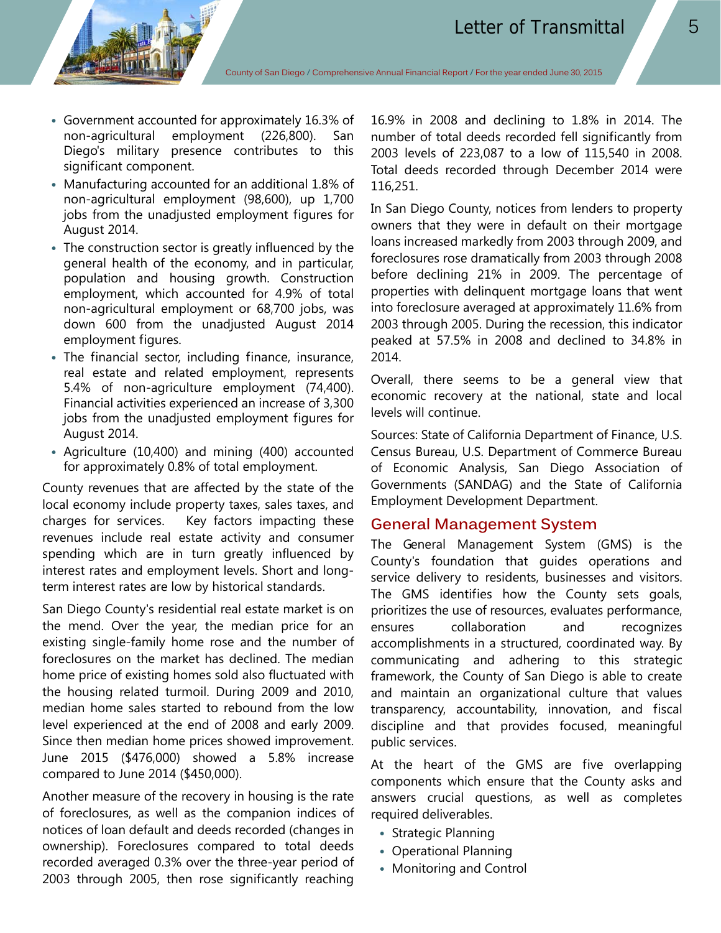- Government accounted for approximately 16.3% of non-agricultural employment (226,800). San Diego's military presence contributes to this significant component.
- Manufacturing accounted for an additional 1.8% of non-agricultural employment (98,600), up 1,700 jobs from the unadjusted employment figures for August 2014.
- The construction sector is greatly influenced by the general health of the economy, and in particular, population and housing growth. Construction employment, which accounted for 4.9% of total non-agricultural employment or 68,700 jobs, was down 600 from the unadjusted August 2014 employment figures.
- The financial sector, including finance, insurance, real estate and related employment, represents 5.4% of non-agriculture employment (74,400). Financial activities experienced an increase of 3,300 jobs from the unadjusted employment figures for August 2014.
- Agriculture (10,400) and mining (400) accounted for approximately 0.8% of total employment.

County revenues that are affected by the state of the local economy include property taxes, sales taxes, and charges for services. Key factors impacting these revenues include real estate activity and consumer spending which are in turn greatly influenced by interest rates and employment levels. Short and longterm interest rates are low by historical standards.

San Diego County's residential real estate market is on the mend. Over the year, the median price for an existing single-family home rose and the number of foreclosures on the market has declined. The median home price of existing homes sold also fluctuated with the housing related turmoil. During 2009 and 2010, median home sales started to rebound from the low level experienced at the end of 2008 and early 2009. Since then median home prices showed improvement. June 2015 (\$476,000) showed a 5.8% increase compared to June 2014 (\$450,000).

Another measure of the recovery in housing is the rate of foreclosures, as well as the companion indices of notices of loan default and deeds recorded (changes in ownership). Foreclosures compared to total deeds recorded averaged 0.3% over the three-year period of 2003 through 2005, then rose significantly reaching

16.9% in 2008 and declining to 1.8% in 2014. The number of total deeds recorded fell significantly from 2003 levels of 223,087 to a low of 115,540 in 2008. Total deeds recorded through December 2014 were 116,251.

In San Diego County, notices from lenders to property owners that they were in default on their mortgage loans increased markedly from 2003 through 2009, and foreclosures rose dramatically from 2003 through 2008 before declining 21% in 2009. The percentage of properties with delinquent mortgage loans that went into foreclosure averaged at approximately 11.6% from 2003 through 2005. During the recession, this indicator peaked at 57.5% in 2008 and declined to 34.8% in 2014.

Overall, there seems to be a general view that economic recovery at the national, state and local levels will continue.

Sources: State of California Department of Finance, U.S. Census Bureau, U.S. Department of Commerce Bureau of Economic Analysis, San Diego Association of Governments (SANDAG) and the State of California Employment Development Department.

## **General Management System**

The General Management System (GMS) is the County's foundation that guides operations and service delivery to residents, businesses and visitors. The GMS identifies how the County sets goals, prioritizes the use of resources, evaluates performance, ensures collaboration and recognizes accomplishments in a structured, coordinated way. By communicating and adhering to this strategic framework, the County of San Diego is able to create and maintain an organizational culture that values transparency, accountability, innovation, and fiscal discipline and that provides focused, meaningful public services.

At the heart of the GMS are five overlapping components which ensure that the County asks and answers crucial questions, as well as completes required deliverables.

- Strategic Planning
- Operational Planning
- Monitoring and Control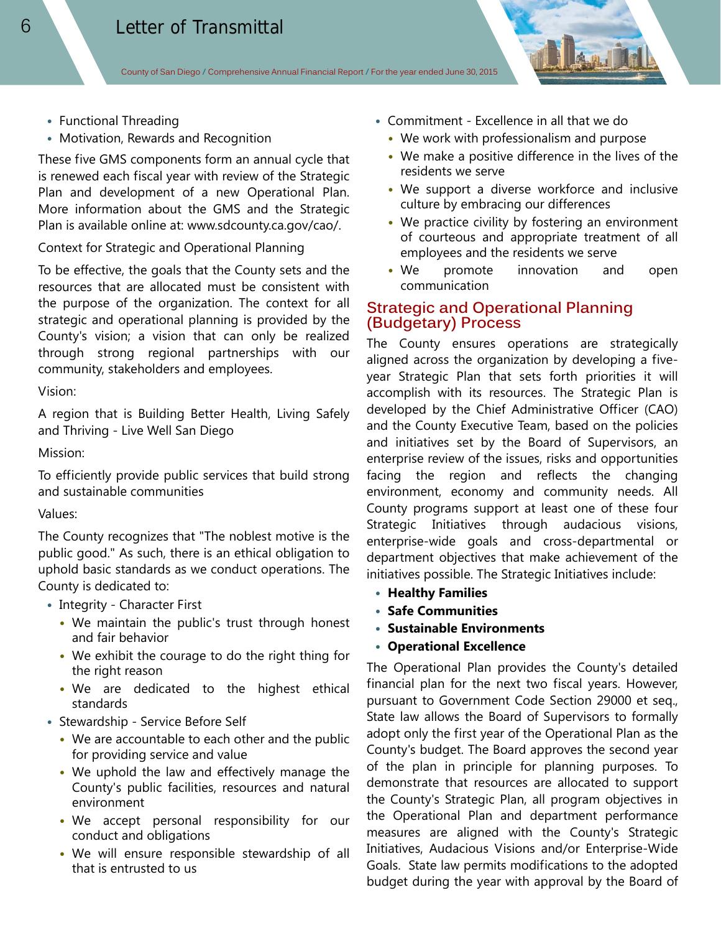- Functional Threading
- Motivation, Rewards and Recognition

These five GMS components form an annual cycle that is renewed each fiscal year with review of the Strategic Plan and development of a new Operational Plan. More information about the GMS and the Strategic Plan is available online at: www.sdcounty.ca.gov/cao/.

Context for Strategic and Operational Planning

To be effective, the goals that the County sets and the resources that are allocated must be consistent with the purpose of the organization. The context for all strategic and operational planning is provided by the County's vision; a vision that can only be realized through strong regional partnerships with our community, stakeholders and employees.

Vision:

A region that is Building Better Health, Living Safely and Thriving - Live Well San Diego

Mission:

To efficiently provide public services that build strong and sustainable communities

Values:

The County recognizes that "The noblest motive is the public good." As such, there is an ethical obligation to uphold basic standards as we conduct operations. The County is dedicated to:

- Integrity Character First
	- We maintain the public's trust through honest and fair behavior
	- We exhibit the courage to do the right thing for the right reason
	- We are dedicated to the highest ethical standards
- Stewardship Service Before Self
	- We are accountable to each other and the public for providing service and value
	- We uphold the law and effectively manage the County's public facilities, resources and natural environment
	- We accept personal responsibility for our conduct and obligations
	- We will ensure responsible stewardship of all that is entrusted to us
- Commitment Excellence in all that we do
	- We work with professionalism and purpose
	- We make a positive difference in the lives of the residents we serve
	- We support a diverse workforce and inclusive culture by embracing our differences
	- We practice civility by fostering an environment of courteous and appropriate treatment of all employees and the residents we serve
	- We promote innovation and open communication

## **Strategic and Operational Planning (Budgetary) Process**

The County ensures operations are strategically aligned across the organization by developing a fiveyear Strategic Plan that sets forth priorities it will accomplish with its resources. The Strategic Plan is developed by the Chief Administrative Officer (CAO) and the County Executive Team, based on the policies and initiatives set by the Board of Supervisors, an enterprise review of the issues, risks and opportunities facing the region and reflects the changing environment, economy and community needs. All County programs support at least one of these four Strategic Initiatives through audacious visions, enterprise-wide goals and cross-departmental or department objectives that make achievement of the initiatives possible. The Strategic Initiatives include:

- **Healthy Families**
- **Safe Communities**
- **Sustainable Environments**
- **Operational Excellence**

The Operational Plan provides the County's detailed financial plan for the next two fiscal years. However, pursuant to Government Code Section 29000 et seq., State law allows the Board of Supervisors to formally adopt only the first year of the Operational Plan as the County's budget. The Board approves the second year of the plan in principle for planning purposes. To demonstrate that resources are allocated to support the County's Strategic Plan, all program objectives in the Operational Plan and department performance measures are aligned with the County's Strategic Initiatives, Audacious Visions and/or Enterprise-Wide Goals. State law permits modifications to the adopted budget during the year with approval by the Board of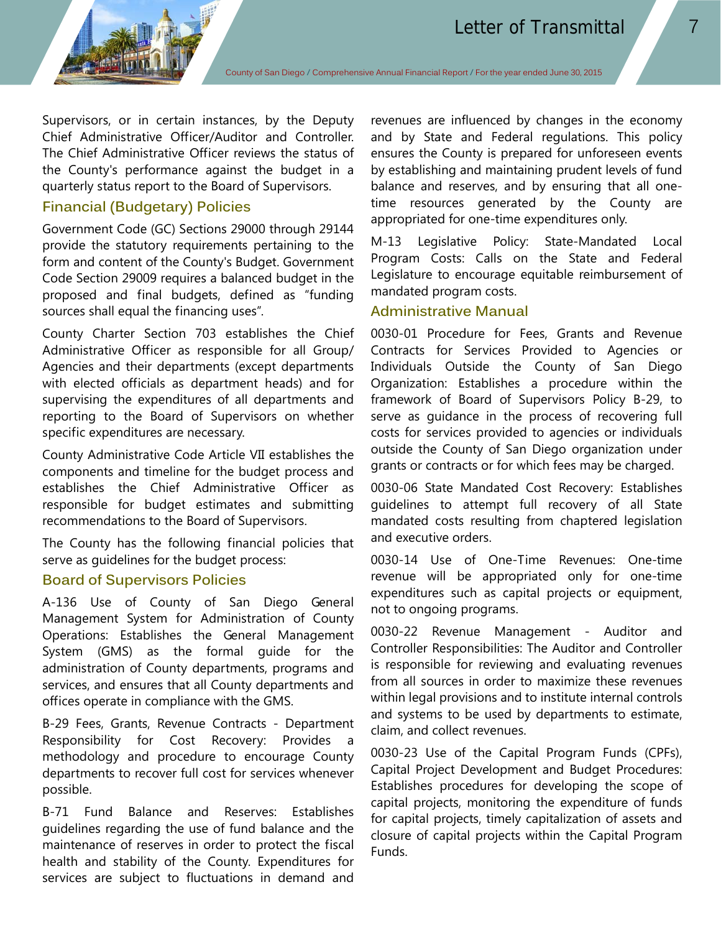

Supervisors, or in certain instances, by the Deputy Chief Administrative Officer/Auditor and Controller. The Chief Administrative Officer reviews the status of the County's performance against the budget in a quarterly status report to the Board of Supervisors.

## **Financial (Budgetary) Policies**

Government Code (GC) Sections 29000 through 29144 provide the statutory requirements pertaining to the form and content of the County's Budget. Government Code Section 29009 requires a balanced budget in the proposed and final budgets, defined as "funding sources shall equal the financing uses".

County Charter Section 703 establishes the Chief Administrative Officer as responsible for all Group/ Agencies and their departments (except departments with elected officials as department heads) and for supervising the expenditures of all departments and reporting to the Board of Supervisors on whether specific expenditures are necessary.

County Administrative Code Article VII establishes the components and timeline for the budget process and establishes the Chief Administrative Officer as responsible for budget estimates and submitting recommendations to the Board of Supervisors.

The County has the following financial policies that serve as guidelines for the budget process:

#### **Board of Supervisors Policies**

A-136 Use of County of San Diego General Management System for Administration of County Operations: Establishes the General Management System (GMS) as the formal guide for the administration of County departments, programs and services, and ensures that all County departments and offices operate in compliance with the GMS.

B-29 Fees, Grants, Revenue Contracts - Department Responsibility for Cost Recovery: Provides a methodology and procedure to encourage County departments to recover full cost for services whenever possible.

B-71 Fund Balance and Reserves: Establishes guidelines regarding the use of fund balance and the maintenance of reserves in order to protect the fiscal health and stability of the County. Expenditures for services are subject to fluctuations in demand and

revenues are influenced by changes in the economy and by State and Federal regulations. This policy ensures the County is prepared for unforeseen events by establishing and maintaining prudent levels of fund balance and reserves, and by ensuring that all onetime resources generated by the County are appropriated for one-time expenditures only.

M-13 Legislative Policy: State-Mandated Local Program Costs: Calls on the State and Federal Legislature to encourage equitable reimbursement of mandated program costs.

# **Administrative Manual**

0030-01 Procedure for Fees, Grants and Revenue Contracts for Services Provided to Agencies or Individuals Outside the County of San Diego Organization: Establishes a procedure within the framework of Board of Supervisors Policy B-29, to serve as guidance in the process of recovering full costs for services provided to agencies or individuals outside the County of San Diego organization under grants or contracts or for which fees may be charged.

0030-06 State Mandated Cost Recovery: Establishes guidelines to attempt full recovery of all State mandated costs resulting from chaptered legislation and executive orders.

0030-14 Use of One-Time Revenues: One-time revenue will be appropriated only for one-time expenditures such as capital projects or equipment, not to ongoing programs.

0030-22 Revenue Management - Auditor and Controller Responsibilities: The Auditor and Controller is responsible for reviewing and evaluating revenues from all sources in order to maximize these revenues within legal provisions and to institute internal controls and systems to be used by departments to estimate, claim, and collect revenues.

0030-23 Use of the Capital Program Funds (CPFs), Capital Project Development and Budget Procedures: Establishes procedures for developing the scope of capital projects, monitoring the expenditure of funds for capital projects, timely capitalization of assets and closure of capital projects within the Capital Program Funds.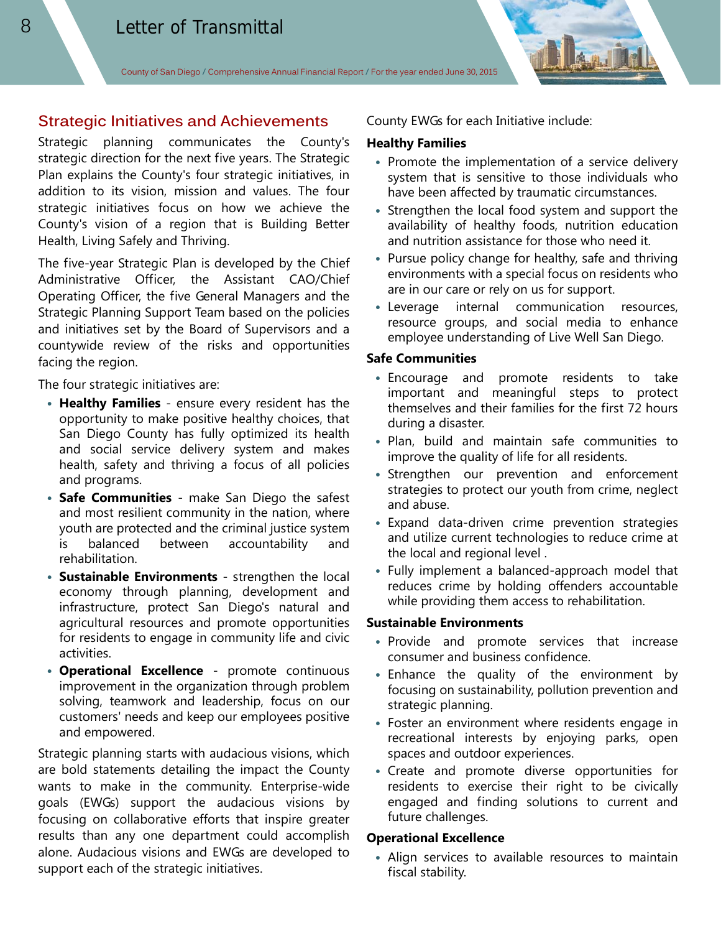## **Strategic Initiatives and Achievements**

Strategic planning communicates the County's strategic direction for the next five years. The Strategic Plan explains the County's four strategic initiatives, in addition to its vision, mission and values. The four strategic initiatives focus on how we achieve the County's vision of a region that is Building Better Health, Living Safely and Thriving.

The five-year Strategic Plan is developed by the Chief Administrative Officer, the Assistant CAO/Chief Operating Officer, the five General Managers and the Strategic Planning Support Team based on the policies and initiatives set by the Board of Supervisors and a countywide review of the risks and opportunities facing the region.

The four strategic initiatives are:

- **Healthy Families**  ensure every resident has the opportunity to make positive healthy choices, that San Diego County has fully optimized its health and social service delivery system and makes health, safety and thriving a focus of all policies and programs.
- **Safe Communities**  make San Diego the safest and most resilient community in the nation, where youth are protected and the criminal justice system is balanced between accountability and rehabilitation.
- **Sustainable Environments**  strengthen the local economy through planning, development and infrastructure, protect San Diego's natural and agricultural resources and promote opportunities for residents to engage in community life and civic activities.
- **Operational Excellence**  promote continuous improvement in the organization through problem solving, teamwork and leadership, focus on our customers' needs and keep our employees positive and empowered.

Strategic planning starts with audacious visions, which are bold statements detailing the impact the County wants to make in the community. Enterprise-wide goals (EWGs) support the audacious visions by focusing on collaborative efforts that inspire greater results than any one department could accomplish alone. Audacious visions and EWGs are developed to support each of the strategic initiatives.

County EWGs for each Initiative include:

#### **Healthy Families**

- Promote the implementation of a service delivery system that is sensitive to those individuals who have been affected by traumatic circumstances.
- Strengthen the local food system and support the availability of healthy foods, nutrition education and nutrition assistance for those who need it.
- Pursue policy change for healthy, safe and thriving environments with a special focus on residents who are in our care or rely on us for support.
- Leverage internal communication resources, resource groups, and social media to enhance employee understanding of Live Well San Diego.

#### **Safe Communities**

- Encourage and promote residents to take important and meaningful steps to protect themselves and their families for the first 72 hours during a disaster.
- Plan, build and maintain safe communities to improve the quality of life for all residents.
- Strengthen our prevention and enforcement strategies to protect our youth from crime, neglect and abuse.
- Expand data-driven crime prevention strategies and utilize current technologies to reduce crime at the local and regional level .
- Fully implement a balanced-approach model that reduces crime by holding offenders accountable while providing them access to rehabilitation.

#### **Sustainable Environments**

- Provide and promote services that increase consumer and business confidence.
- Enhance the quality of the environment by focusing on sustainability, pollution prevention and strategic planning.
- Foster an environment where residents engage in recreational interests by enjoying parks, open spaces and outdoor experiences.
- Create and promote diverse opportunities for residents to exercise their right to be civically engaged and finding solutions to current and future challenges.

#### **Operational Excellence**

• Align services to available resources to maintain fiscal stability.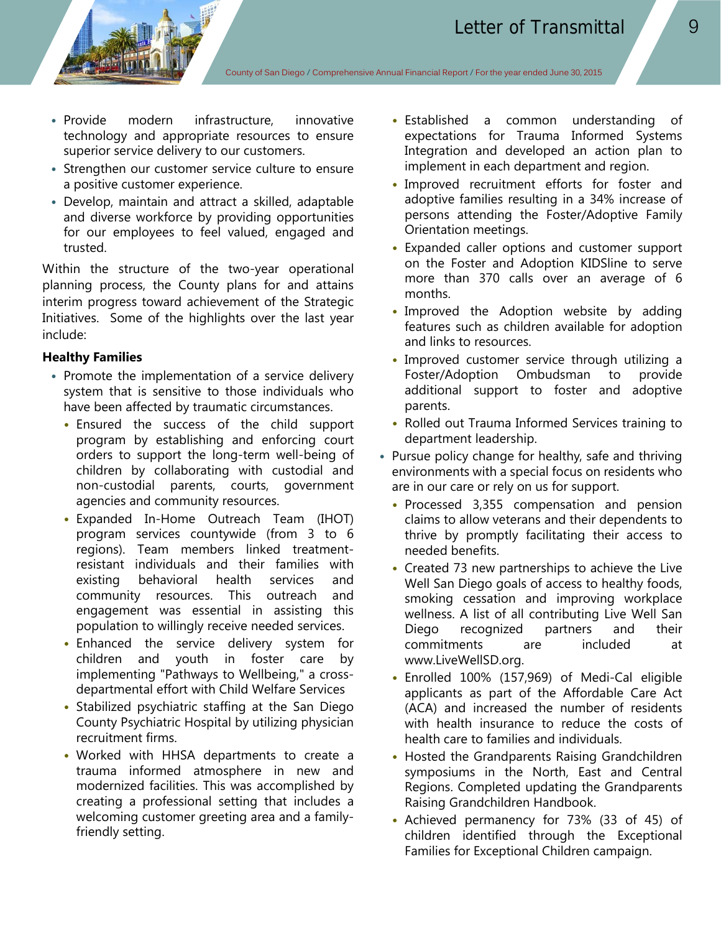- Provide modern infrastructure, innovative technology and appropriate resources to ensure superior service delivery to our customers.
- Strengthen our customer service culture to ensure a positive customer experience.
- Develop, maintain and attract a skilled, adaptable and diverse workforce by providing opportunities for our employees to feel valued, engaged and trusted.

Within the structure of the two-year operational planning process, the County plans for and attains interim progress toward achievement of the Strategic Initiatives. Some of the highlights over the last year include:

#### **Healthy Families**

- Promote the implementation of a service delivery system that is sensitive to those individuals who have been affected by traumatic circumstances.
	- Ensured the success of the child support program by establishing and enforcing court orders to support the long-term well-being of children by collaborating with custodial and non-custodial parents, courts, government agencies and community resources.
	- Expanded In-Home Outreach Team (IHOT) program services countywide (from 3 to 6 regions). Team members linked treatmentresistant individuals and their families with existing behavioral health services and community resources. This outreach and engagement was essential in assisting this population to willingly receive needed services.
	- Enhanced the service delivery system for children and youth in foster care by implementing "Pathways to Wellbeing," a crossdepartmental effort with Child Welfare Services
	- Stabilized psychiatric staffing at the San Diego County Psychiatric Hospital by utilizing physician recruitment firms.
	- Worked with HHSA departments to create a trauma informed atmosphere in new and modernized facilities. This was accomplished by creating a professional setting that includes a welcoming customer greeting area and a familyfriendly setting.
- Established a common understanding of expectations for Trauma Informed Systems Integration and developed an action plan to implement in each department and region.
- Improved recruitment efforts for foster and adoptive families resulting in a 34% increase of persons attending the Foster/Adoptive Family Orientation meetings.
- Expanded caller options and customer support on the Foster and Adoption KIDSline to serve more than 370 calls over an average of 6 months.
- Improved the Adoption website by adding features such as children available for adoption and links to resources.
- Improved customer service through utilizing a Foster/Adoption Ombudsman to provide additional support to foster and adoptive parents.
- Rolled out Trauma Informed Services training to department leadership.
- Pursue policy change for healthy, safe and thriving environments with a special focus on residents who are in our care or rely on us for support.
	- Processed 3,355 compensation and pension claims to allow veterans and their dependents to thrive by promptly facilitating their access to needed benefits.
	- Created 73 new partnerships to achieve the Live Well San Diego goals of access to healthy foods, smoking cessation and improving workplace wellness. A list of all contributing Live Well San Diego recognized partners and their commitments are included at www.LiveWellSD.org.
	- Enrolled 100% (157,969) of Medi-Cal eligible applicants as part of the Affordable Care Act (ACA) and increased the number of residents with health insurance to reduce the costs of health care to families and individuals.
	- Hosted the Grandparents Raising Grandchildren symposiums in the North, East and Central Regions. Completed updating the Grandparents Raising Grandchildren Handbook.
	- Achieved permanency for 73% (33 of 45) of children identified through the Exceptional Families for Exceptional Children campaign.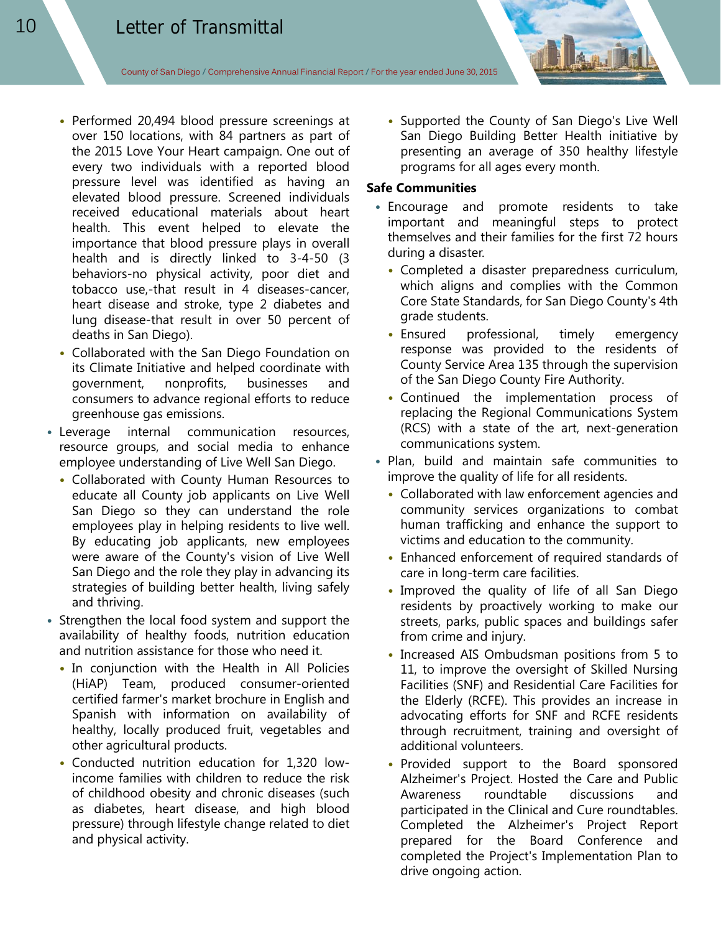- Performed 20,494 blood pressure screenings at over 150 locations, with 84 partners as part of the 2015 Love Your Heart campaign. One out of every two individuals with a reported blood pressure level was identified as having an elevated blood pressure. Screened individuals received educational materials about heart health. This event helped to elevate the importance that blood pressure plays in overall health and is directly linked to 3-4-50 (3 behaviors-no physical activity, poor diet and tobacco use,-that result in 4 diseases-cancer, heart disease and stroke, type 2 diabetes and lung disease-that result in over 50 percent of deaths in San Diego).
- Collaborated with the San Diego Foundation on its Climate Initiative and helped coordinate with government, nonprofits, businesses and consumers to advance regional efforts to reduce greenhouse gas emissions.
- Leverage internal communication resources, resource groups, and social media to enhance employee understanding of Live Well San Diego.
	- Collaborated with County Human Resources to educate all County job applicants on Live Well San Diego so they can understand the role employees play in helping residents to live well. By educating job applicants, new employees were aware of the County's vision of Live Well San Diego and the role they play in advancing its strategies of building better health, living safely and thriving.
- Strengthen the local food system and support the availability of healthy foods, nutrition education and nutrition assistance for those who need it.
	- In conjunction with the Health in All Policies (HiAP) Team, produced consumer-oriented certified farmer's market brochure in English and Spanish with information on availability of healthy, locally produced fruit, vegetables and other agricultural products.
	- Conducted nutrition education for 1,320 lowincome families with children to reduce the risk of childhood obesity and chronic diseases (such as diabetes, heart disease, and high blood pressure) through lifestyle change related to diet and physical activity.

• Supported the County of San Diego's Live Well San Diego Building Better Health initiative by presenting an average of 350 healthy lifestyle programs for all ages every month.

#### **Safe Communities**

- Encourage and promote residents to take important and meaningful steps to protect themselves and their families for the first 72 hours during a disaster.
	- Completed a disaster preparedness curriculum, which aligns and complies with the Common Core State Standards, for San Diego County's 4th grade students.
	- Ensured professional, timely emergency response was provided to the residents of County Service Area 135 through the supervision of the San Diego County Fire Authority.
	- Continued the implementation process of replacing the Regional Communications System (RCS) with a state of the art, next-generation communications system.
- Plan, build and maintain safe communities to improve the quality of life for all residents.
	- Collaborated with law enforcement agencies and community services organizations to combat human trafficking and enhance the support to victims and education to the community.
	- Enhanced enforcement of required standards of care in long-term care facilities.
	- Improved the quality of life of all San Diego residents by proactively working to make our streets, parks, public spaces and buildings safer from crime and injury.
	- Increased AIS Ombudsman positions from 5 to 11, to improve the oversight of Skilled Nursing Facilities (SNF) and Residential Care Facilities for the Elderly (RCFE). This provides an increase in advocating efforts for SNF and RCFE residents through recruitment, training and oversight of additional volunteers.
	- Provided support to the Board sponsored Alzheimer's Project. Hosted the Care and Public Awareness roundtable discussions and participated in the Clinical and Cure roundtables. Completed the Alzheimer's Project Report prepared for the Board Conference and completed the Project's Implementation Plan to drive ongoing action.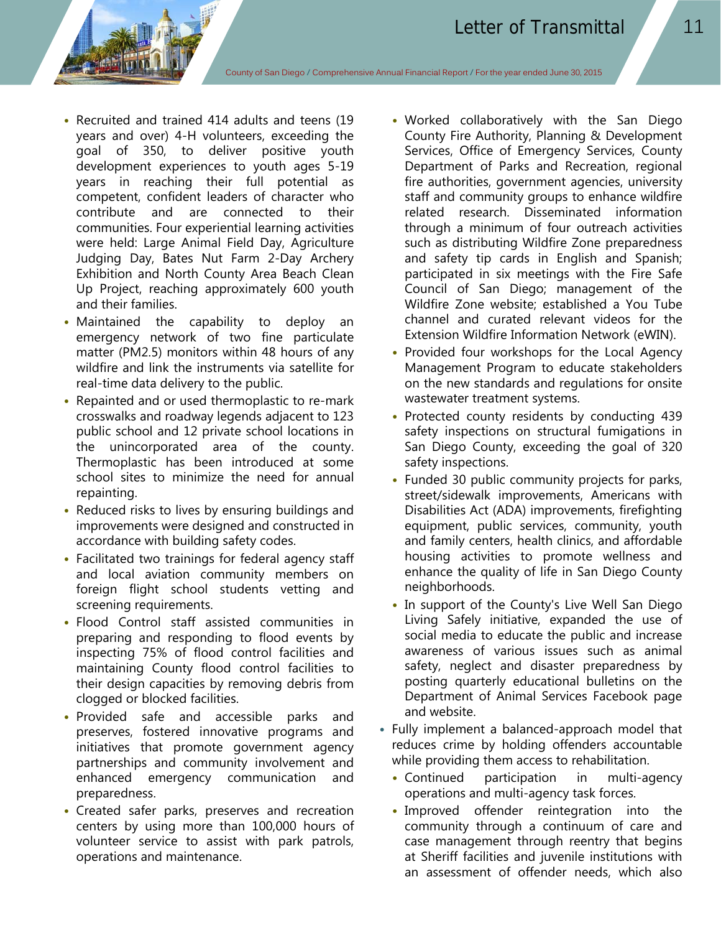- Recruited and trained 414 adults and teens (19 years and over) 4-H volunteers, exceeding the goal of 350, to deliver positive youth development experiences to youth ages 5-19 years in reaching their full potential as competent, confident leaders of character who contribute and are connected to their communities. Four experiential learning activities were held: Large Animal Field Day, Agriculture Judging Day, Bates Nut Farm 2-Day Archery Exhibition and North County Area Beach Clean Up Project, reaching approximately 600 youth and their families.
- Maintained the capability to deploy an emergency network of two fine particulate matter (PM2.5) monitors within 48 hours of any wildfire and link the instruments via satellite for real-time data delivery to the public.
- Repainted and or used thermoplastic to re-mark crosswalks and roadway legends adjacent to 123 public school and 12 private school locations in the unincorporated area of the county. Thermoplastic has been introduced at some school sites to minimize the need for annual repainting.
- Reduced risks to lives by ensuring buildings and improvements were designed and constructed in accordance with building safety codes.
- Facilitated two trainings for federal agency staff and local aviation community members on foreign flight school students vetting and screening requirements.
- Flood Control staff assisted communities in preparing and responding to flood events by inspecting 75% of flood control facilities and maintaining County flood control facilities to their design capacities by removing debris from clogged or blocked facilities.
- Provided safe and accessible parks and preserves, fostered innovative programs and initiatives that promote government agency partnerships and community involvement and enhanced emergency communication and preparedness.
- Created safer parks, preserves and recreation centers by using more than 100,000 hours of volunteer service to assist with park patrols, operations and maintenance.
- Worked collaboratively with the San Diego County Fire Authority, Planning & Development Services, Office of Emergency Services, County Department of Parks and Recreation, regional fire authorities, government agencies, university staff and community groups to enhance wildfire related research. Disseminated information through a minimum of four outreach activities such as distributing Wildfire Zone preparedness and safety tip cards in English and Spanish; participated in six meetings with the Fire Safe Council of San Diego; management of the Wildfire Zone website; established a You Tube channel and curated relevant videos for the Extension Wildfire Information Network (eWIN).
- Provided four workshops for the Local Agency Management Program to educate stakeholders on the new standards and regulations for onsite wastewater treatment systems.
- Protected county residents by conducting 439 safety inspections on structural fumigations in San Diego County, exceeding the goal of 320 safety inspections.
- Funded 30 public community projects for parks, street/sidewalk improvements, Americans with Disabilities Act (ADA) improvements, firefighting equipment, public services, community, youth and family centers, health clinics, and affordable housing activities to promote wellness and enhance the quality of life in San Diego County neighborhoods.
- In support of the County's Live Well San Diego Living Safely initiative, expanded the use of social media to educate the public and increase awareness of various issues such as animal safety, neglect and disaster preparedness by posting quarterly educational bulletins on the Department of Animal Services Facebook page and website.
- Fully implement a balanced-approach model that reduces crime by holding offenders accountable while providing them access to rehabilitation.
	- Continued participation in multi-agency operations and multi-agency task forces.
	- Improved offender reintegration into the community through a continuum of care and case management through reentry that begins at Sheriff facilities and juvenile institutions with an assessment of offender needs, which also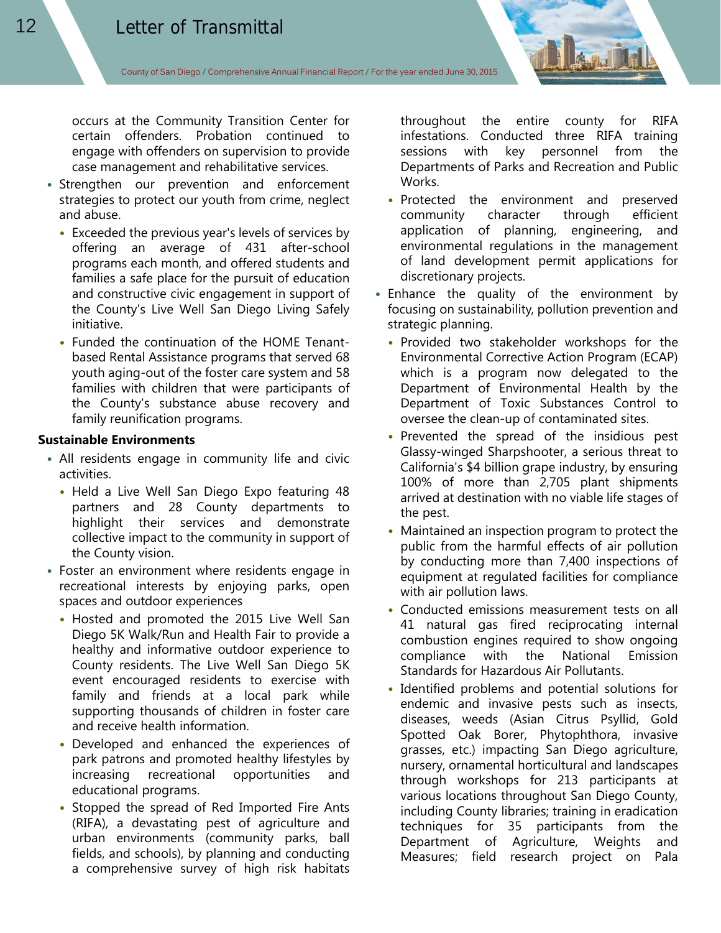occurs at the Community Transition Center for certain offenders. Probation continued to engage with offenders on supervision to provide case management and rehabilitative services.

- Strengthen our prevention and enforcement strategies to protect our youth from crime, neglect and abuse.
	- Exceeded the previous year's levels of services by offering an average of 431 after-school programs each month, and offered students and families a safe place for the pursuit of education and constructive civic engagement in support of the County's Live Well San Diego Living Safely initiative.
	- Funded the continuation of the HOME Tenantbased Rental Assistance programs that served 68 youth aging-out of the foster care system and 58 families with children that were participants of the County's substance abuse recovery and family reunification programs.

#### **Sustainable Environments**

- All residents engage in community life and civic activities.
	- Held a Live Well San Diego Expo featuring 48 partners and 28 County departments to highlight their services and demonstrate collective impact to the community in support of the County vision.
- Foster an environment where residents engage in recreational interests by enjoying parks, open spaces and outdoor experiences
	- Hosted and promoted the 2015 Live Well San Diego 5K Walk/Run and Health Fair to provide a healthy and informative outdoor experience to County residents. The Live Well San Diego 5K event encouraged residents to exercise with family and friends at a local park while supporting thousands of children in foster care and receive health information.
	- Developed and enhanced the experiences of park patrons and promoted healthy lifestyles by increasing recreational opportunities and educational programs.
	- Stopped the spread of Red Imported Fire Ants (RIFA), a devastating pest of agriculture and urban environments (community parks, ball fields, and schools), by planning and conducting a comprehensive survey of high risk habitats

throughout the entire county for RIFA infestations. Conducted three RIFA training sessions with key personnel from the Departments of Parks and Recreation and Public Works.

- Protected the environment and preserved community character through efficient application of planning, engineering, and environmental regulations in the management of land development permit applications for discretionary projects.
- Enhance the quality of the environment by focusing on sustainability, pollution prevention and strategic planning.
	- Provided two stakeholder workshops for the Environmental Corrective Action Program (ECAP) which is a program now delegated to the Department of Environmental Health by the Department of Toxic Substances Control to oversee the clean-up of contaminated sites.
	- Prevented the spread of the insidious pest Glassy-winged Sharpshooter, a serious threat to California's \$4 billion grape industry, by ensuring 100% of more than 2,705 plant shipments arrived at destination with no viable life stages of the pest.
	- Maintained an inspection program to protect the public from the harmful effects of air pollution by conducting more than 7,400 inspections of equipment at regulated facilities for compliance with air pollution laws.
	- Conducted emissions measurement tests on all 41 natural gas fired reciprocating internal combustion engines required to show ongoing compliance with the National Emission Standards for Hazardous Air Pollutants.
	- Identified problems and potential solutions for endemic and invasive pests such as insects, diseases, weeds (Asian Citrus Psyllid, Gold Spotted Oak Borer, Phytophthora, invasive grasses, etc.) impacting San Diego agriculture, nursery, ornamental horticultural and landscapes through workshops for 213 participants at various locations throughout San Diego County, including County libraries; training in eradication techniques for 35 participants from the Department of Agriculture, Weights and Measures; field research project on Pala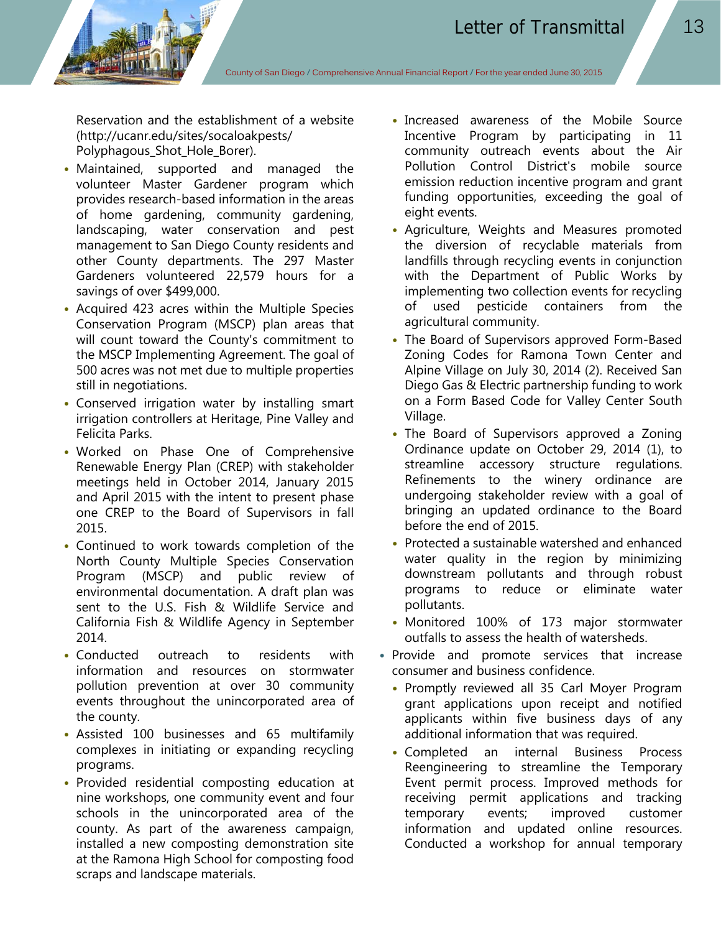Reservation and the establishment of a website (http://ucanr.edu/sites/socaloakpests/ Polyphagous Shot Hole Borer).

- Maintained, supported and managed the volunteer Master Gardener program which provides research-based information in the areas of home gardening, community gardening, landscaping, water conservation and pest management to San Diego County residents and other County departments. The 297 Master Gardeners volunteered 22,579 hours for a savings of over \$499,000.
- Acquired 423 acres within the Multiple Species Conservation Program (MSCP) plan areas that will count toward the County's commitment to the MSCP Implementing Agreement. The goal of 500 acres was not met due to multiple properties still in negotiations.
- Conserved irrigation water by installing smart irrigation controllers at Heritage, Pine Valley and Felicita Parks.
- Worked on Phase One of Comprehensive Renewable Energy Plan (CREP) with stakeholder meetings held in October 2014, January 2015 and April 2015 with the intent to present phase one CREP to the Board of Supervisors in fall 2015.
- Continued to work towards completion of the North County Multiple Species Conservation Program (MSCP) and public review of environmental documentation. A draft plan was sent to the U.S. Fish & Wildlife Service and California Fish & Wildlife Agency in September 2014.
- Conducted outreach to residents with information and resources on stormwater pollution prevention at over 30 community events throughout the unincorporated area of the county.
- Assisted 100 businesses and 65 multifamily complexes in initiating or expanding recycling programs.
- Provided residential composting education at nine workshops, one community event and four schools in the unincorporated area of the county. As part of the awareness campaign, installed a new composting demonstration site at the Ramona High School for composting food scraps and landscape materials.
- Increased awareness of the Mobile Source Incentive Program by participating in 11 community outreach events about the Air Pollution Control District's mobile source emission reduction incentive program and grant funding opportunities, exceeding the goal of eight events.
- Agriculture, Weights and Measures promoted the diversion of recyclable materials from landfills through recycling events in conjunction with the Department of Public Works by implementing two collection events for recycling of used pesticide containers from the agricultural community.
- The Board of Supervisors approved Form-Based Zoning Codes for Ramona Town Center and Alpine Village on July 30, 2014 (2). Received San Diego Gas & Electric partnership funding to work on a Form Based Code for Valley Center South Village.
- The Board of Supervisors approved a Zoning Ordinance update on October 29, 2014 (1), to streamline accessory structure regulations. Refinements to the winery ordinance are undergoing stakeholder review with a goal of bringing an updated ordinance to the Board before the end of 2015.
- Protected a sustainable watershed and enhanced water quality in the region by minimizing downstream pollutants and through robust programs to reduce or eliminate water pollutants.
- Monitored 100% of 173 major stormwater outfalls to assess the health of watersheds.
- Provide and promote services that increase consumer and business confidence.
	- Promptly reviewed all 35 Carl Moyer Program grant applications upon receipt and notified applicants within five business days of any additional information that was required.
	- Completed an internal Business Process Reengineering to streamline the Temporary Event permit process. Improved methods for receiving permit applications and tracking temporary events; improved customer information and updated online resources. Conducted a workshop for annual temporary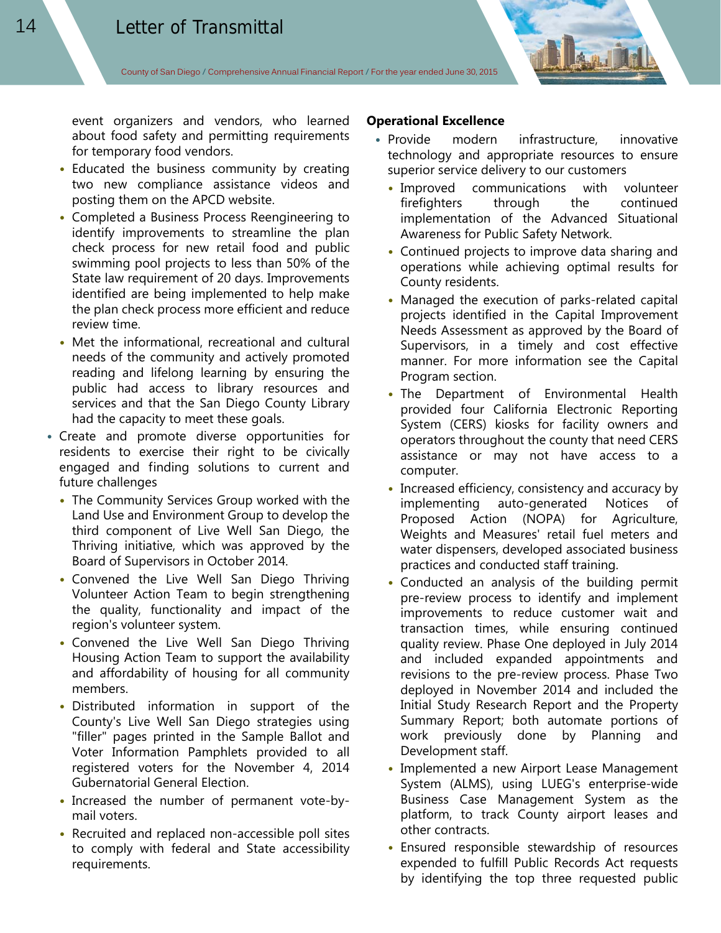event organizers and vendors, who learned about food safety and permitting requirements for temporary food vendors.

- Educated the business community by creating two new compliance assistance videos and posting them on the APCD website.
- Completed a Business Process Reengineering to identify improvements to streamline the plan check process for new retail food and public swimming pool projects to less than 50% of the State law requirement of 20 days. Improvements identified are being implemented to help make the plan check process more efficient and reduce review time.
- Met the informational, recreational and cultural needs of the community and actively promoted reading and lifelong learning by ensuring the public had access to library resources and services and that the San Diego County Library had the capacity to meet these goals.
- Create and promote diverse opportunities for residents to exercise their right to be civically engaged and finding solutions to current and future challenges
	- The Community Services Group worked with the Land Use and Environment Group to develop the third component of Live Well San Diego, the Thriving initiative, which was approved by the Board of Supervisors in October 2014.
	- Convened the Live Well San Diego Thriving Volunteer Action Team to begin strengthening the quality, functionality and impact of the region's volunteer system.
	- Convened the Live Well San Diego Thriving Housing Action Team to support the availability and affordability of housing for all community members.
	- Distributed information in support of the County's Live Well San Diego strategies using "filler" pages printed in the Sample Ballot and Voter Information Pamphlets provided to all registered voters for the November 4, 2014 Gubernatorial General Election.
	- Increased the number of permanent vote-bymail voters.
	- Recruited and replaced non-accessible poll sites to comply with federal and State accessibility requirements.

#### **Operational Excellence**

- Provide modern infrastructure, innovative technology and appropriate resources to ensure superior service delivery to our customers
	- Improved communications with volunteer firefighters through the continued implementation of the Advanced Situational Awareness for Public Safety Network.
	- Continued projects to improve data sharing and operations while achieving optimal results for County residents.
	- Managed the execution of parks-related capital projects identified in the Capital Improvement Needs Assessment as approved by the Board of Supervisors, in a timely and cost effective manner. For more information see the Capital Program section.
	- The Department of Environmental Health provided four California Electronic Reporting System (CERS) kiosks for facility owners and operators throughout the county that need CERS assistance or may not have access to a computer.
	- Increased efficiency, consistency and accuracy by implementing auto-generated Notices of Proposed Action (NOPA) for Agriculture, Weights and Measures' retail fuel meters and water dispensers, developed associated business practices and conducted staff training.
	- Conducted an analysis of the building permit pre-review process to identify and implement improvements to reduce customer wait and transaction times, while ensuring continued quality review. Phase One deployed in July 2014 and included expanded appointments and revisions to the pre-review process. Phase Two deployed in November 2014 and included the Initial Study Research Report and the Property Summary Report; both automate portions of work previously done by Planning and Development staff.
	- Implemented a new Airport Lease Management System (ALMS), using LUEG's enterprise-wide Business Case Management System as the platform, to track County airport leases and other contracts.
	- Ensured responsible stewardship of resources expended to fulfill Public Records Act requests by identifying the top three requested public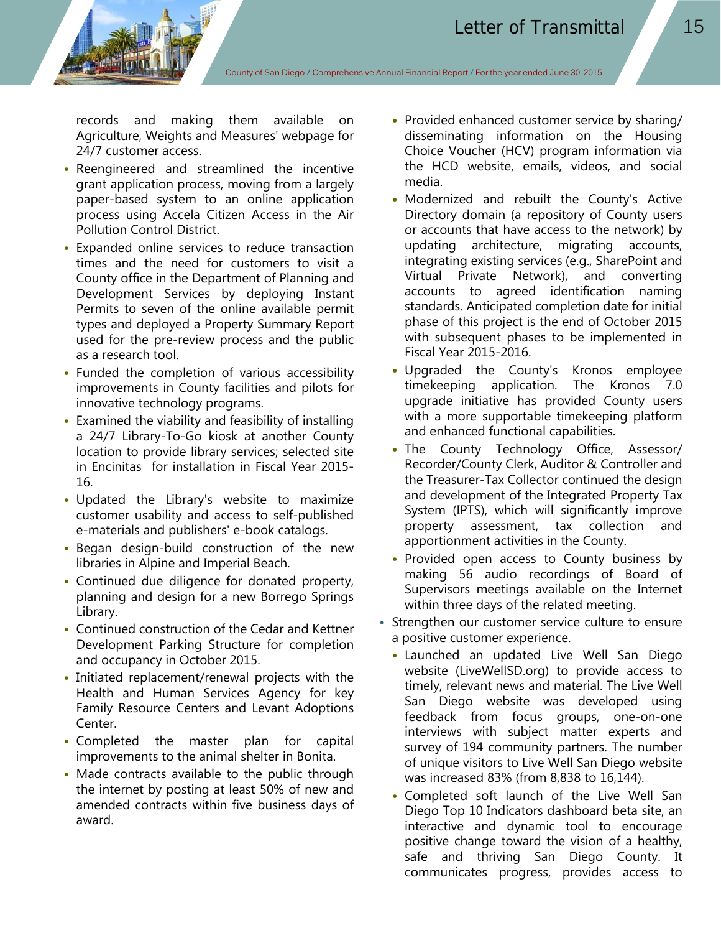records and making them available on Agriculture, Weights and Measures' webpage for 24/7 customer access.

- Reengineered and streamlined the incentive grant application process, moving from a largely paper-based system to an online application process using Accela Citizen Access in the Air Pollution Control District.
- Expanded online services to reduce transaction times and the need for customers to visit a County office in the Department of Planning and Development Services by deploying Instant Permits to seven of the online available permit types and deployed a Property Summary Report used for the pre-review process and the public as a research tool.
- Funded the completion of various accessibility improvements in County facilities and pilots for innovative technology programs.
- Examined the viability and feasibility of installing a 24/7 Library-To-Go kiosk at another County location to provide library services; selected site in Encinitas for installation in Fiscal Year 2015- 16.
- Updated the Library's website to maximize customer usability and access to self-published e-materials and publishers' e-book catalogs.
- Began design-build construction of the new libraries in Alpine and Imperial Beach.
- Continued due diligence for donated property, planning and design for a new Borrego Springs Library.
- Continued construction of the Cedar and Kettner Development Parking Structure for completion and occupancy in October 2015.
- Initiated replacement/renewal projects with the Health and Human Services Agency for key Family Resource Centers and Levant Adoptions Center.
- Completed the master plan for capital improvements to the animal shelter in Bonita.
- Made contracts available to the public through the internet by posting at least 50% of new and amended contracts within five business days of award.
- Provided enhanced customer service by sharing/ disseminating information on the Housing Choice Voucher (HCV) program information via the HCD website, emails, videos, and social media.
- Modernized and rebuilt the County's Active Directory domain (a repository of County users or accounts that have access to the network) by updating architecture, migrating accounts, integrating existing services (e.g., SharePoint and Virtual Private Network), and converting accounts to agreed identification naming standards. Anticipated completion date for initial phase of this project is the end of October 2015 with subsequent phases to be implemented in Fiscal Year 2015-2016.
- Upgraded the County's Kronos employee timekeeping application. The Kronos 7.0 upgrade initiative has provided County users with a more supportable timekeeping platform and enhanced functional capabilities.
- The County Technology Office, Assessor/ Recorder/County Clerk, Auditor & Controller and the Treasurer-Tax Collector continued the design and development of the Integrated Property Tax System (IPTS), which will significantly improve property assessment, tax collection and apportionment activities in the County.
- Provided open access to County business by making 56 audio recordings of Board of Supervisors meetings available on the Internet within three days of the related meeting.
- Strengthen our customer service culture to ensure a positive customer experience.
	- Launched an updated Live Well San Diego website (LiveWellSD.org) to provide access to timely, relevant news and material. The Live Well San Diego website was developed using feedback from focus groups, one-on-one interviews with subject matter experts and survey of 194 community partners. The number of unique visitors to Live Well San Diego website was increased 83% (from 8,838 to 16,144).
	- Completed soft launch of the Live Well San Diego Top 10 Indicators dashboard beta site, an interactive and dynamic tool to encourage positive change toward the vision of a healthy, safe and thriving San Diego County. It communicates progress, provides access to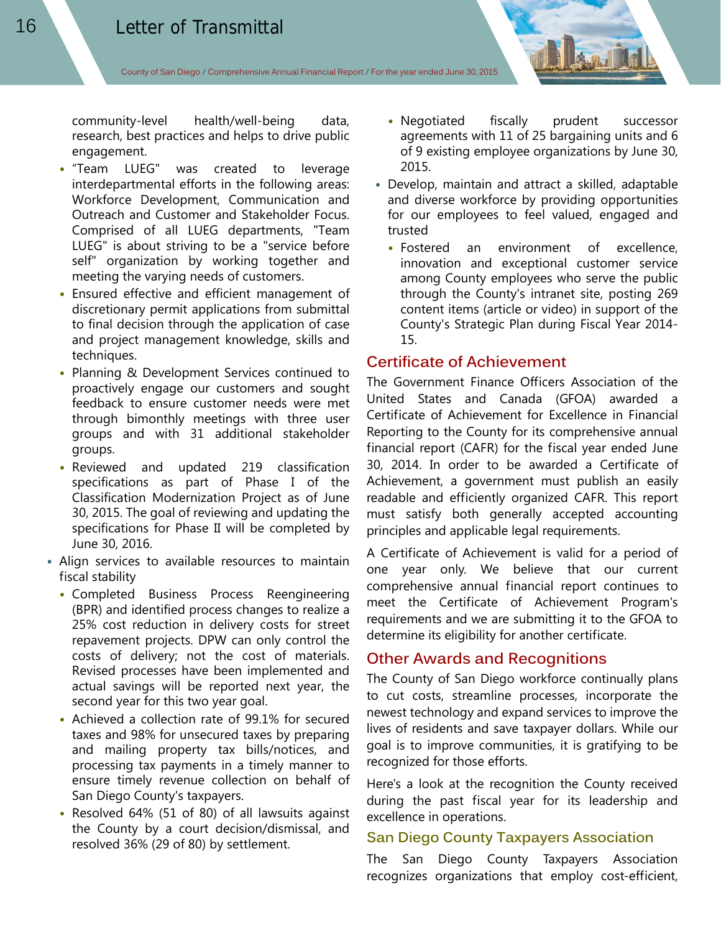community-level health/well-being data, research, best practices and helps to drive public engagement.

- "Team LUEG" was created to leverage interdepartmental efforts in the following areas: Workforce Development, Communication and Outreach and Customer and Stakeholder Focus. Comprised of all LUEG departments, "Team LUEG" is about striving to be a "service before self" organization by working together and meeting the varying needs of customers.
- Ensured effective and efficient management of discretionary permit applications from submittal to final decision through the application of case and project management knowledge, skills and techniques.
- Planning & Development Services continued to proactively engage our customers and sought feedback to ensure customer needs were met through bimonthly meetings with three user groups and with 31 additional stakeholder groups.
- Reviewed and updated 219 classification specifications as part of Phase I of the Classification Modernization Project as of June 30, 2015. The goal of reviewing and updating the specifications for Phase II will be completed by June 30, 2016.
- Align services to available resources to maintain fiscal stability
	- Completed Business Process Reengineering (BPR) and identified process changes to realize a 25% cost reduction in delivery costs for street repavement projects. DPW can only control the costs of delivery; not the cost of materials. Revised processes have been implemented and actual savings will be reported next year, the second year for this two year goal.
	- Achieved a collection rate of 99.1% for secured taxes and 98% for unsecured taxes by preparing and mailing property tax bills/notices, and processing tax payments in a timely manner to ensure timely revenue collection on behalf of San Diego County's taxpayers.
	- Resolved 64% (51 of 80) of all lawsuits against the County by a court decision/dismissal, and resolved 36% (29 of 80) by settlement.
- Negotiated fiscally prudent successor agreements with 11 of 25 bargaining units and 6 of 9 existing employee organizations by June 30, 2015.
- Develop, maintain and attract a skilled, adaptable and diverse workforce by providing opportunities for our employees to feel valued, engaged and trusted
	- Fostered an environment of excellence, innovation and exceptional customer service among County employees who serve the public through the County's intranet site, posting 269 content items (article or video) in support of the County's Strategic Plan during Fiscal Year 2014- 15.

## **Certificate of Achievement**

The Government Finance Officers Association of the United States and Canada (GFOA) awarded a Certificate of Achievement for Excellence in Financial Reporting to the County for its comprehensive annual financial report (CAFR) for the fiscal year ended June 30, 2014. In order to be awarded a Certificate of Achievement, a government must publish an easily readable and efficiently organized CAFR. This report must satisfy both generally accepted accounting principles and applicable legal requirements.

A Certificate of Achievement is valid for a period of one year only. We believe that our current comprehensive annual financial report continues to meet the Certificate of Achievement Program's requirements and we are submitting it to the GFOA to determine its eligibility for another certificate.

## **Other Awards and Recognitions**

The County of San Diego workforce continually plans to cut costs, streamline processes, incorporate the newest technology and expand services to improve the lives of residents and save taxpayer dollars. While our goal is to improve communities, it is gratifying to be recognized for those efforts.

Here's a look at the recognition the County received during the past fiscal year for its leadership and excellence in operations.

#### **San Diego County Taxpayers Association**

The San Diego County Taxpayers Association recognizes organizations that employ cost-efficient,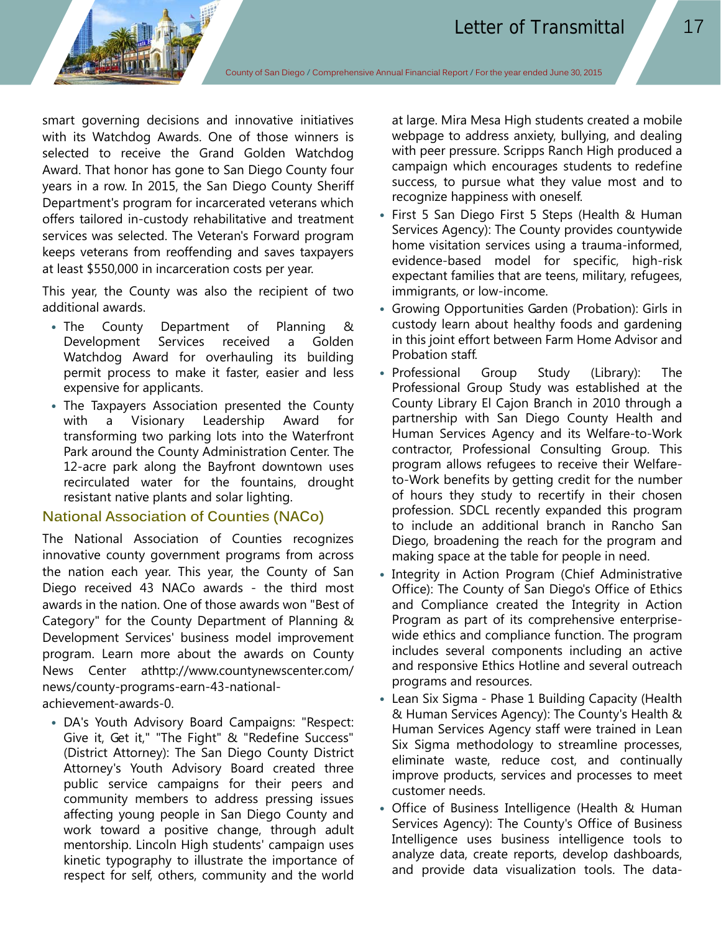smart governing decisions and innovative initiatives with its Watchdog Awards. One of those winners is selected to receive the Grand Golden Watchdog Award. That honor has gone to San Diego County four years in a row. In 2015, the San Diego County Sheriff Department's program for incarcerated veterans which offers tailored in-custody rehabilitative and treatment services was selected. The Veteran's Forward program keeps veterans from reoffending and saves taxpayers at least \$550,000 in incarceration costs per year.

This year, the County was also the recipient of two additional awards.

- The County Department of Planning & Development Services received a Golden Watchdog Award for overhauling its building permit process to make it faster, easier and less expensive for applicants.
- The Taxpayers Association presented the County with a Visionary Leadership Award for transforming two parking lots into the Waterfront Park around the County Administration Center. The 12-acre park along the Bayfront downtown uses recirculated water for the fountains, drought resistant native plants and solar lighting.

# **National Association of Counties (NACo)**

The National Association of Counties recognizes innovative county government programs from across the nation each year. This year, the County of San Diego received 43 NACo awards - the third most awards in the nation. One of those awards won "Best of Category" for the County Department of Planning & Development Services' business model improvement program. Learn more about the awards on County News Center athttp://www.countynewscenter.com/ news/county-programs-earn-43-nationalachievement-awards-0.

• DA's Youth Advisory Board Campaigns: "Respect: Give it, Get it," "The Fight" & "Redefine Success" (District Attorney): The San Diego County District Attorney's Youth Advisory Board created three public service campaigns for their peers and community members to address pressing issues affecting young people in San Diego County and work toward a positive change, through adult mentorship. Lincoln High students' campaign uses kinetic typography to illustrate the importance of respect for self, others, community and the world

at large. Mira Mesa High students created a mobile webpage to address anxiety, bullying, and dealing with peer pressure. Scripps Ranch High produced a campaign which encourages students to redefine success, to pursue what they value most and to recognize happiness with oneself.

- First 5 San Diego First 5 Steps (Health & Human Services Agency): The County provides countywide home visitation services using a trauma-informed, evidence-based model for specific, high-risk expectant families that are teens, military, refugees, immigrants, or low-income.
- Growing Opportunities Garden (Probation): Girls in custody learn about healthy foods and gardening in this joint effort between Farm Home Advisor and Probation staff.
- Professional Group Study (Library): The Professional Group Study was established at the County Library El Cajon Branch in 2010 through a partnership with San Diego County Health and Human Services Agency and its Welfare-to-Work contractor, Professional Consulting Group. This program allows refugees to receive their Welfareto-Work benefits by getting credit for the number of hours they study to recertify in their chosen profession. SDCL recently expanded this program to include an additional branch in Rancho San Diego, broadening the reach for the program and making space at the table for people in need.
- Integrity in Action Program (Chief Administrative Office): The County of San Diego's Office of Ethics and Compliance created the Integrity in Action Program as part of its comprehensive enterprisewide ethics and compliance function. The program includes several components including an active and responsive Ethics Hotline and several outreach programs and resources.
- Lean Six Sigma Phase 1 Building Capacity (Health & Human Services Agency): The County's Health & Human Services Agency staff were trained in Lean Six Sigma methodology to streamline processes, eliminate waste, reduce cost, and continually improve products, services and processes to meet customer needs.
- Office of Business Intelligence (Health & Human Services Agency): The County's Office of Business Intelligence uses business intelligence tools to analyze data, create reports, develop dashboards, and provide data visualization tools. The data-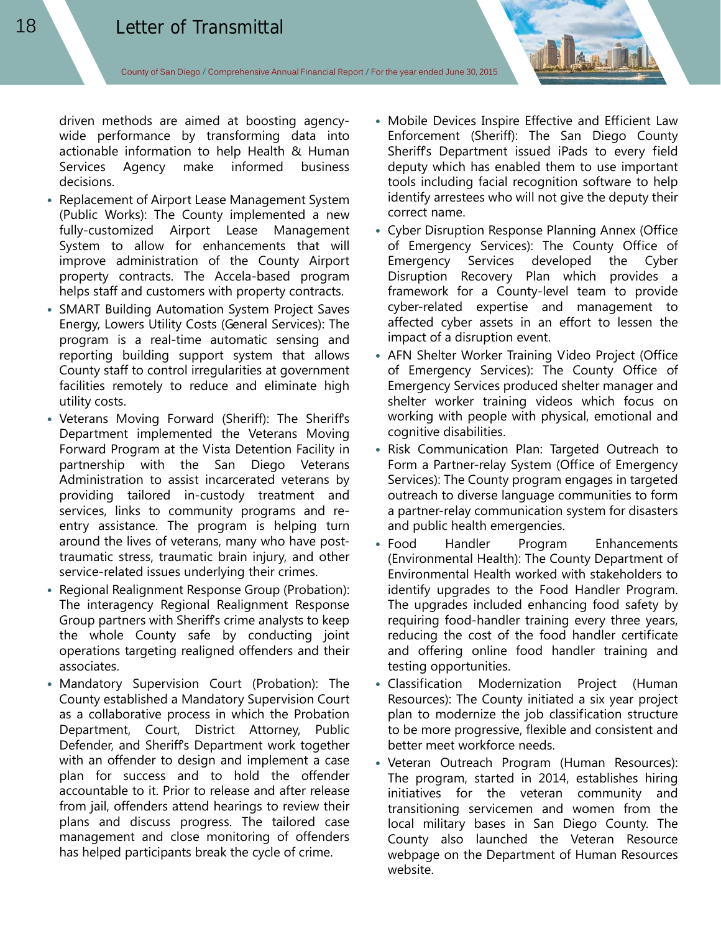driven methods are aimed at boosting agencywide performance by transforming data into actionable information to help Health & Human Services Agency make informed business decisions.

- Replacement of Airport Lease Management System (Public Works): The County implemented a new fully-customized Airport Lease Management System to allow for enhancements that will improve administration of the County Airport property contracts. The Accela-based program helps staff and customers with property contracts.
- SMART Building Automation System Project Saves Energy, Lowers Utility Costs (General Services): The program is a real-time automatic sensing and reporting building support system that allows County staff to control irregularities at government facilities remotely to reduce and eliminate high utility costs.
- Veterans Moving Forward (Sheriff): The Sheriffs Department implemented the Veterans Moving Forward Program at the Vista Detention Facility in partnership with the San Diego Veterans Administration to assist incarcerated veterans by providing tailored in-custody treatment and services, links to community programs and reentry assistance. The program is helping turn around the lives of veterans, many who have posttraumatic stress, traumatic brain injury, and other service-related issues underlying their crimes.
- Regional Realignment Response Group (Probation): The interagency Regional Realignment Response Group partners with Sheriff's crime analysts to keep the whole County safe by conducting joint operations targeting realigned offenders and their associates.
- Mandatory Supervision Court (Probation): The County established a Mandatory Supervision Court as a collaborative process in which the Probation Department, Court, District Attorney, Public Defender, and Sheriff's Department work together with an offender to design and implement a case plan for success and to hold the offender accountable to it. Prior to release and after release from jail, offenders attend hearings to review their plans and discuss progress. The tailored case management and close monitoring of offenders has helped participants break the cycle of crime.
- Mobile Devices Inspire Effective and Efficient Law Enforcement (Sheriff): The San Diego County Sheriff's Department issued iPads to every field deputy which has enabled them to use important tools including facial recognition software to help identify arrestees who will not give the deputy their correct name.
- Cyber Disruption Response Planning Annex (Office of Emergency Services): The County Office of Emergency Services developed the Cyber Disruption Recovery Plan which provides a framework for a County-level team to provide cyber-related expertise and management to affected cyber assets in an effort to lessen the impact of a disruption event.
- AFN Shelter Worker Training Video Project (Office of Emergency Services): The County Office of Emergency Services produced shelter manager and shelter worker training videos which focus on working with people with physical, emotional and cognitive disabilities.
- Risk Communication Plan: Targeted Outreach to Form a Partner-relay System (Office of Emergency Services): The County program engages in targeted outreach to diverse language communities to form a partner-relay communication system for disasters and public health emergencies.
- Food Handler Program Enhancements (Environmental Health): The County Department of Environmental Health worked with stakeholders to identify upgrades to the Food Handler Program. The upgrades included enhancing food safety by requiring food-handler training every three years, reducing the cost of the food handler certificate and offering online food handler training and testing opportunities.
- Classification Modernization Project (Human Resources): The County initiated a six year project plan to modernize the job classification structure to be more progressive, flexible and consistent and better meet workforce needs.
- Veteran Outreach Program (Human Resources): The program, started in 2014, establishes hiring initiatives for the veteran community and transitioning servicemen and women from the local military bases in San Diego County. The County also launched the Veteran Resource webpage on the Department of Human Resources website.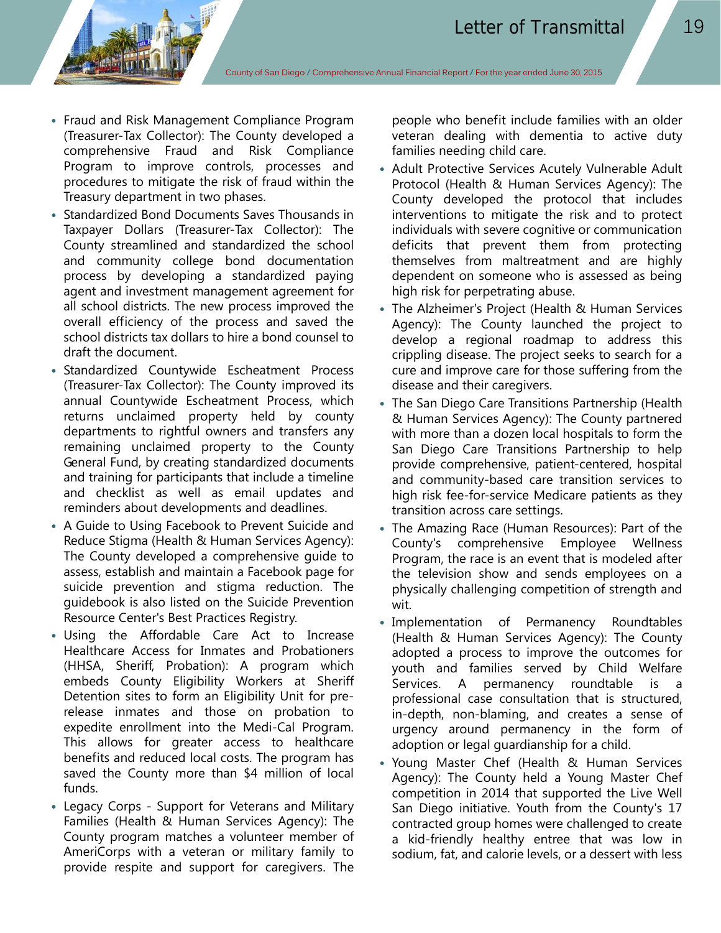- Fraud and Risk Management Compliance Program (Treasurer-Tax Collector): The County developed a comprehensive Fraud and Risk Compliance Program to improve controls, processes and procedures to mitigate the risk of fraud within the Treasury department in two phases.
- Standardized Bond Documents Saves Thousands in Taxpayer Dollars (Treasurer-Tax Collector): The County streamlined and standardized the school and community college bond documentation process by developing a standardized paying agent and investment management agreement for all school districts. The new process improved the overall efficiency of the process and saved the school districts tax dollars to hire a bond counsel to draft the document.
- Standardized Countywide Escheatment Process (Treasurer-Tax Collector): The County improved its annual Countywide Escheatment Process, which returns unclaimed property held by county departments to rightful owners and transfers any remaining unclaimed property to the County General Fund, by creating standardized documents and training for participants that include a timeline and checklist as well as email updates and reminders about developments and deadlines.
- A Guide to Using Facebook to Prevent Suicide and Reduce Stigma (Health & Human Services Agency): The County developed a comprehensive guide to assess, establish and maintain a Facebook page for suicide prevention and stigma reduction. The guidebook is also listed on the Suicide Prevention Resource Center's Best Practices Registry.
- Using the Affordable Care Act to Increase Healthcare Access for Inmates and Probationers (HHSA, Sheriff, Probation): A program which embeds County Eligibility Workers at Sheriff Detention sites to form an Eligibility Unit for prerelease inmates and those on probation to expedite enrollment into the Medi-Cal Program. This allows for greater access to healthcare benefits and reduced local costs. The program has saved the County more than \$4 million of local funds.
- Legacy Corps Support for Veterans and Military Families (Health & Human Services Agency): The County program matches a volunteer member of AmeriCorps with a veteran or military family to provide respite and support for caregivers. The

people who benefit include families with an older veteran dealing with dementia to active duty families needing child care.

- Adult Protective Services Acutely Vulnerable Adult Protocol (Health & Human Services Agency): The County developed the protocol that includes interventions to mitigate the risk and to protect individuals with severe cognitive or communication deficits that prevent them from protecting themselves from maltreatment and are highly dependent on someone who is assessed as being high risk for perpetrating abuse.
- The Alzheimer's Project (Health & Human Services Agency): The County launched the project to develop a regional roadmap to address this crippling disease. The project seeks to search for a cure and improve care for those suffering from the disease and their caregivers.
- The San Diego Care Transitions Partnership (Health & Human Services Agency): The County partnered with more than a dozen local hospitals to form the San Diego Care Transitions Partnership to help provide comprehensive, patient-centered, hospital and community-based care transition services to high risk fee-for-service Medicare patients as they transition across care settings.
- The Amazing Race (Human Resources): Part of the County's comprehensive Employee Wellness Program, the race is an event that is modeled after the television show and sends employees on a physically challenging competition of strength and wit.
- Implementation of Permanency Roundtables (Health & Human Services Agency): The County adopted a process to improve the outcomes for youth and families served by Child Welfare Services. A permanency roundtable is a professional case consultation that is structured, in-depth, non-blaming, and creates a sense of urgency around permanency in the form of adoption or legal guardianship for a child.
- Young Master Chef (Health & Human Services Agency): The County held a Young Master Chef competition in 2014 that supported the Live Well San Diego initiative. Youth from the County's 17 contracted group homes were challenged to create a kid-friendly healthy entree that was low in sodium, fat, and calorie levels, or a dessert with less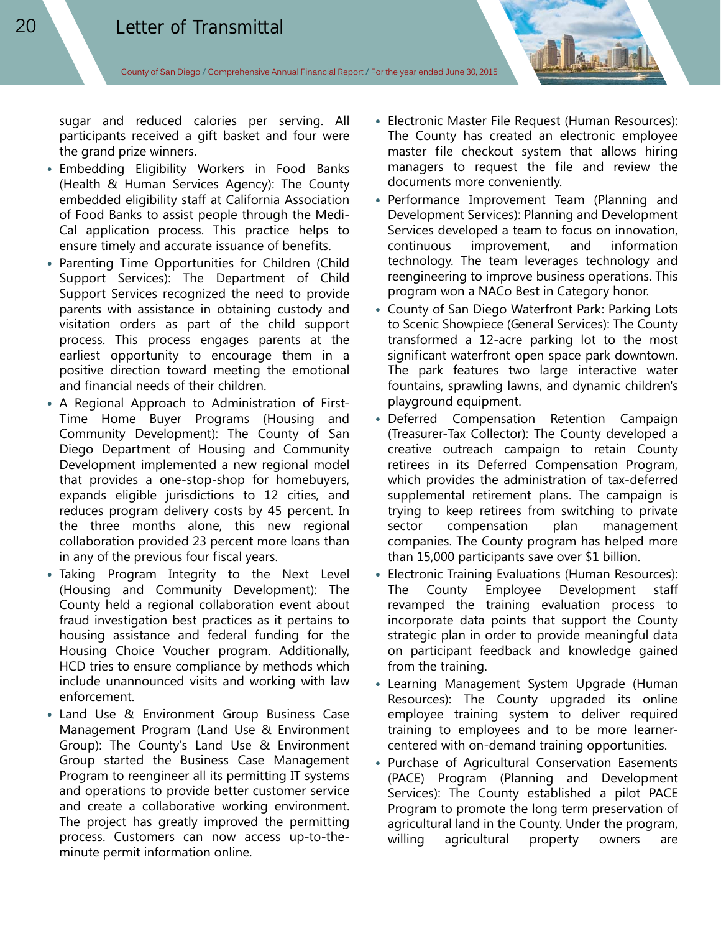sugar and reduced calories per serving. All participants received a gift basket and four were the grand prize winners.

- Embedding Eligibility Workers in Food Banks (Health & Human Services Agency): The County embedded eligibility staff at California Association of Food Banks to assist people through the Medi-Cal application process. This practice helps to ensure timely and accurate issuance of benefits.
- Parenting Time Opportunities for Children (Child Support Services): The Department of Child Support Services recognized the need to provide parents with assistance in obtaining custody and visitation orders as part of the child support process. This process engages parents at the earliest opportunity to encourage them in a positive direction toward meeting the emotional and financial needs of their children.
- A Regional Approach to Administration of First-Time Home Buyer Programs (Housing and Community Development): The County of San Diego Department of Housing and Community Development implemented a new regional model that provides a one-stop-shop for homebuyers, expands eligible jurisdictions to 12 cities, and reduces program delivery costs by 45 percent. In the three months alone, this new regional collaboration provided 23 percent more loans than in any of the previous four fiscal years.
- Taking Program Integrity to the Next Level (Housing and Community Development): The County held a regional collaboration event about fraud investigation best practices as it pertains to housing assistance and federal funding for the Housing Choice Voucher program. Additionally, HCD tries to ensure compliance by methods which include unannounced visits and working with law enforcement.
- Land Use & Environment Group Business Case Management Program (Land Use & Environment Group): The County's Land Use & Environment Group started the Business Case Management Program to reengineer all its permitting IT systems and operations to provide better customer service and create a collaborative working environment. The project has greatly improved the permitting process. Customers can now access up-to-theminute permit information online.
- Electronic Master File Request (Human Resources): The County has created an electronic employee master file checkout system that allows hiring managers to request the file and review the documents more conveniently.
- Performance Improvement Team (Planning and Development Services): Planning and Development Services developed a team to focus on innovation, continuous improvement, and information technology. The team leverages technology and reengineering to improve business operations. This program won a NACo Best in Category honor.
- County of San Diego Waterfront Park: Parking Lots to Scenic Showpiece (General Services): The County transformed a 12-acre parking lot to the most significant waterfront open space park downtown. The park features two large interactive water fountains, sprawling lawns, and dynamic children's playground equipment.
- Deferred Compensation Retention Campaign (Treasurer-Tax Collector): The County developed a creative outreach campaign to retain County retirees in its Deferred Compensation Program, which provides the administration of tax-deferred supplemental retirement plans. The campaign is trying to keep retirees from switching to private sector compensation plan management companies. The County program has helped more than 15,000 participants save over \$1 billion.
- Electronic Training Evaluations (Human Resources): The County Employee Development staff revamped the training evaluation process to incorporate data points that support the County strategic plan in order to provide meaningful data on participant feedback and knowledge gained from the training.
- Learning Management System Upgrade (Human Resources): The County upgraded its online employee training system to deliver required training to employees and to be more learnercentered with on-demand training opportunities.
- Purchase of Agricultural Conservation Easements (PACE) Program (Planning and Development Services): The County established a pilot PACE Program to promote the long term preservation of agricultural land in the County. Under the program, willing agricultural property owners are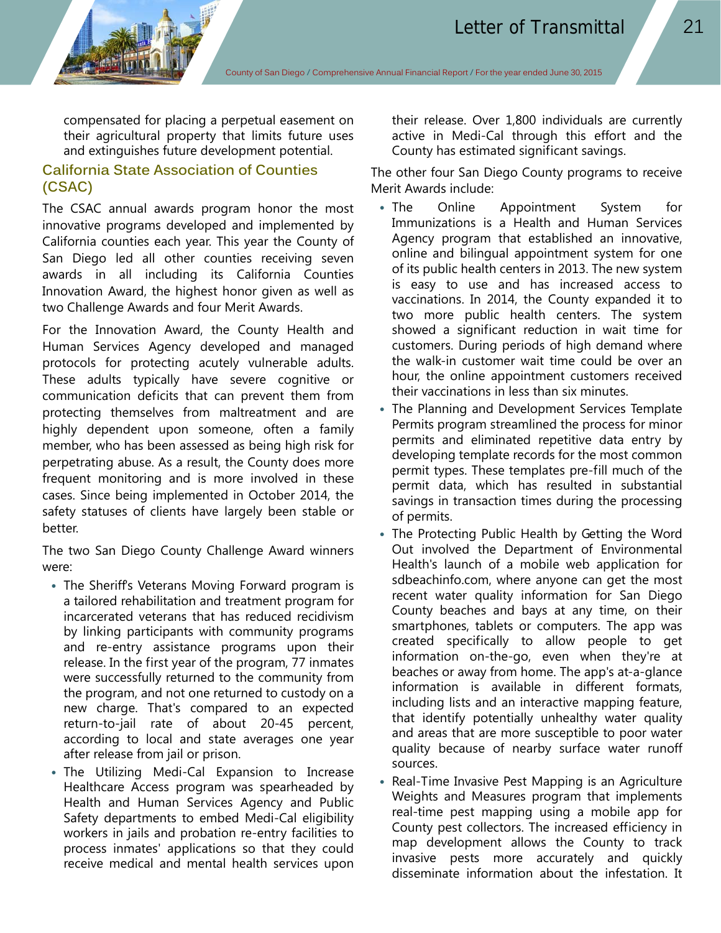compensated for placing a perpetual easement on their agricultural property that limits future uses and extinguishes future development potential.

# **California State Association of Counties (CSAC)**

The CSAC annual awards program honor the most innovative programs developed and implemented by California counties each year. This year the County of San Diego led all other counties receiving seven awards in all including its California Counties Innovation Award, the highest honor given as well as two Challenge Awards and four Merit Awards.

For the Innovation Award, the County Health and Human Services Agency developed and managed protocols for protecting acutely vulnerable adults. These adults typically have severe cognitive or communication deficits that can prevent them from protecting themselves from maltreatment and are highly dependent upon someone, often a family member, who has been assessed as being high risk for perpetrating abuse. As a result, the County does more frequent monitoring and is more involved in these cases. Since being implemented in October 2014, the safety statuses of clients have largely been stable or better.

The two San Diego County Challenge Award winners were:

- The Sheriff's Veterans Moving Forward program is a tailored rehabilitation and treatment program for incarcerated veterans that has reduced recidivism by linking participants with community programs and re-entry assistance programs upon their release. In the first year of the program, 77 inmates were successfully returned to the community from the program, and not one returned to custody on a new charge. That's compared to an expected return-to-jail rate of about 20-45 percent, according to local and state averages one year after release from jail or prison.
- The Utilizing Medi-Cal Expansion to Increase Healthcare Access program was spearheaded by Health and Human Services Agency and Public Safety departments to embed Medi-Cal eligibility workers in jails and probation re-entry facilities to process inmates' applications so that they could receive medical and mental health services upon

their release. Over 1,800 individuals are currently active in Medi-Cal through this effort and the County has estimated significant savings.

The other four San Diego County programs to receive Merit Awards include:

- The Online Appointment System for Immunizations is a Health and Human Services Agency program that established an innovative, online and bilingual appointment system for one of its public health centers in 2013. The new system is easy to use and has increased access to vaccinations. In 2014, the County expanded it to two more public health centers. The system showed a significant reduction in wait time for customers. During periods of high demand where the walk-in customer wait time could be over an hour, the online appointment customers received their vaccinations in less than six minutes.
- The Planning and Development Services Template Permits program streamlined the process for minor permits and eliminated repetitive data entry by developing template records for the most common permit types. These templates pre-fill much of the permit data, which has resulted in substantial savings in transaction times during the processing of permits.
- The Protecting Public Health by Getting the Word Out involved the Department of Environmental Health's launch of a mobile web application for sdbeachinfo.com, where anyone can get the most recent water quality information for San Diego County beaches and bays at any time, on their smartphones, tablets or computers. The app was created specifically to allow people to get information on-the-go, even when they're at beaches or away from home. The app's at-a-glance information is available in different formats, including lists and an interactive mapping feature, that identify potentially unhealthy water quality and areas that are more susceptible to poor water quality because of nearby surface water runoff sources.
- Real-Time Invasive Pest Mapping is an Agriculture Weights and Measures program that implements real-time pest mapping using a mobile app for County pest collectors. The increased efficiency in map development allows the County to track invasive pests more accurately and quickly disseminate information about the infestation. It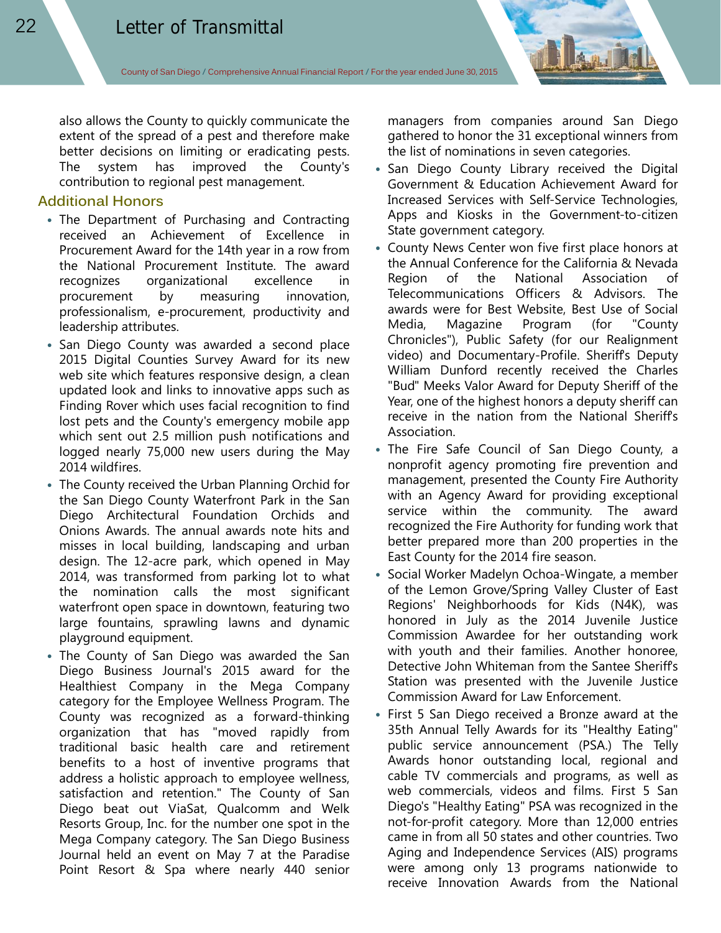also allows the County to quickly communicate the extent of the spread of a pest and therefore make better decisions on limiting or eradicating pests. The system has improved the County's contribution to regional pest management.

## **Additional Honors**

- The Department of Purchasing and Contracting received an Achievement of Excellence in Procurement Award for the 14th year in a row from the National Procurement Institute. The award recognizes organizational excellence in procurement by measuring innovation, professionalism, e-procurement, productivity and leadership attributes.
- San Diego County was awarded a second place 2015 Digital Counties Survey Award for its new web site which features responsive design, a clean updated look and links to innovative apps such as Finding Rover which uses facial recognition to find lost pets and the County's emergency mobile app which sent out 2.5 million push notifications and logged nearly 75,000 new users during the May 2014 wildfires.
- The County received the Urban Planning Orchid for the San Diego County Waterfront Park in the San Diego Architectural Foundation Orchids and Onions Awards. The annual awards note hits and misses in local building, landscaping and urban design. The 12-acre park, which opened in May 2014, was transformed from parking lot to what the nomination calls the most significant waterfront open space in downtown, featuring two large fountains, sprawling lawns and dynamic playground equipment.
- The County of San Diego was awarded the San Diego Business Journal's 2015 award for the Healthiest Company in the Mega Company category for the Employee Wellness Program. The County was recognized as a forward-thinking organization that has "moved rapidly from traditional basic health care and retirement benefits to a host of inventive programs that address a holistic approach to employee wellness, satisfaction and retention." The County of San Diego beat out ViaSat, Qualcomm and Welk Resorts Group, Inc. for the number one spot in the Mega Company category. The San Diego Business Journal held an event on May 7 at the Paradise Point Resort & Spa where nearly 440 senior

managers from companies around San Diego gathered to honor the 31 exceptional winners from the list of nominations in seven categories.

- San Diego County Library received the Digital Government & Education Achievement Award for Increased Services with Self-Service Technologies, Apps and Kiosks in the Government-to-citizen State government category.
- County News Center won five first place honors at the Annual Conference for the California & Nevada Region of the National Association of Telecommunications Officers & Advisors. The awards were for Best Website, Best Use of Social Media, Magazine Program (for "County Chronicles"), Public Safety (for our Realignment video) and Documentary-Profile. Sheriff's Deputy William Dunford recently received the Charles "Bud" Meeks Valor Award for Deputy Sheriff of the Year, one of the highest honors a deputy sheriff can receive in the nation from the National Sheriff's Association.
- The Fire Safe Council of San Diego County, a nonprofit agency promoting fire prevention and management, presented the County Fire Authority with an Agency Award for providing exceptional service within the community. The award recognized the Fire Authority for funding work that better prepared more than 200 properties in the East County for the 2014 fire season.
- Social Worker Madelyn Ochoa-Wingate, a member of the Lemon Grove/Spring Valley Cluster of East Regions' Neighborhoods for Kids (N4K), was honored in July as the 2014 Juvenile Justice Commission Awardee for her outstanding work with youth and their families. Another honoree, Detective John Whiteman from the Santee Sheriff's Station was presented with the Juvenile Justice Commission Award for Law Enforcement.
- First 5 San Diego received a Bronze award at the 35th Annual Telly Awards for its "Healthy Eating" public service announcement (PSA.) The Telly Awards honor outstanding local, regional and cable TV commercials and programs, as well as web commercials, videos and films. First 5 San Diego's "Healthy Eating" PSA was recognized in the not-for-profit category. More than 12,000 entries came in from all 50 states and other countries. Two Aging and Independence Services (AIS) programs were among only 13 programs nationwide to receive Innovation Awards from the National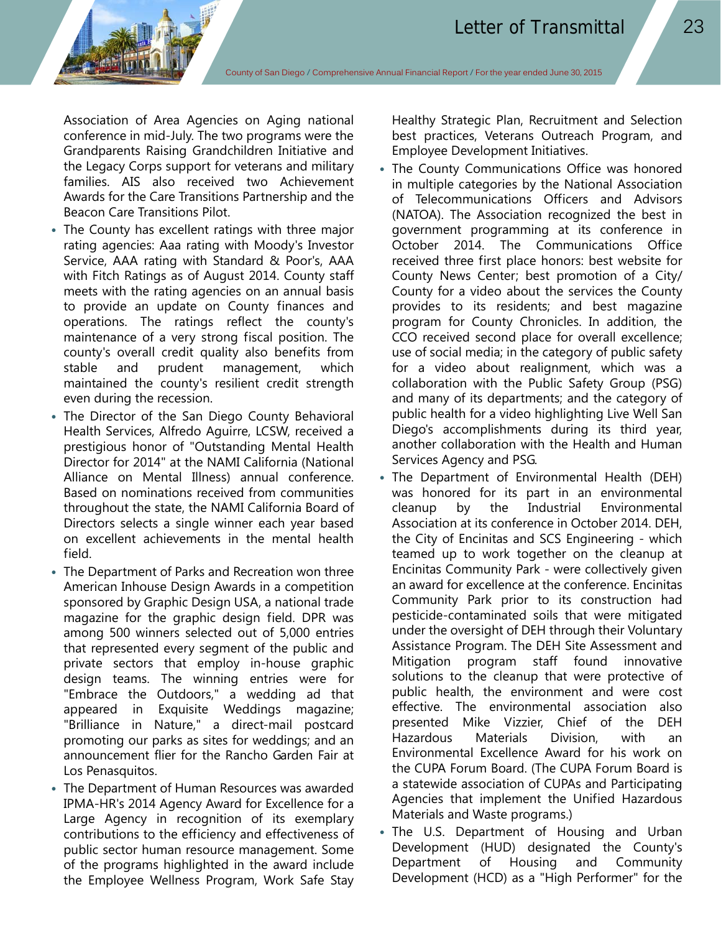Association of Area Agencies on Aging national conference in mid-July. The two programs were the Grandparents Raising Grandchildren Initiative and the Legacy Corps support for veterans and military families. AIS also received two Achievement Awards for the Care Transitions Partnership and the Beacon Care Transitions Pilot.

- The County has excellent ratings with three major rating agencies: Aaa rating with Moody's Investor Service, AAA rating with Standard & Poor's, AAA with Fitch Ratings as of August 2014. County staff meets with the rating agencies on an annual basis to provide an update on County finances and operations. The ratings reflect the county's maintenance of a very strong fiscal position. The county's overall credit quality also benefits from stable and prudent management, which maintained the county's resilient credit strength even during the recession.
- The Director of the San Diego County Behavioral Health Services, Alfredo Aguirre, LCSW, received a prestigious honor of "Outstanding Mental Health Director for 2014" at the NAMI California (National Alliance on Mental Illness) annual conference. Based on nominations received from communities throughout the state, the NAMI California Board of Directors selects a single winner each year based on excellent achievements in the mental health field.
- The Department of Parks and Recreation won three American Inhouse Design Awards in a competition sponsored by Graphic Design USA, a national trade magazine for the graphic design field. DPR was among 500 winners selected out of 5,000 entries that represented every segment of the public and private sectors that employ in-house graphic design teams. The winning entries were for "Embrace the Outdoors," a wedding ad that appeared in Exquisite Weddings magazine; "Brilliance in Nature," a direct-mail postcard promoting our parks as sites for weddings; and an announcement flier for the Rancho Garden Fair at Los Penasquitos.
- The Department of Human Resources was awarded IPMA-HR's 2014 Agency Award for Excellence for a Large Agency in recognition of its exemplary contributions to the efficiency and effectiveness of public sector human resource management. Some of the programs highlighted in the award include the Employee Wellness Program, Work Safe Stay

Healthy Strategic Plan, Recruitment and Selection best practices, Veterans Outreach Program, and Employee Development Initiatives.

- The County Communications Office was honored in multiple categories by the National Association of Telecommunications Officers and Advisors (NATOA). The Association recognized the best in government programming at its conference in October 2014. The Communications Office received three first place honors: best website for County News Center; best promotion of a City/ County for a video about the services the County provides to its residents; and best magazine program for County Chronicles. In addition, the CCO received second place for overall excellence; use of social media; in the category of public safety for a video about realignment, which was a collaboration with the Public Safety Group (PSG) and many of its departments; and the category of public health for a video highlighting Live Well San Diego's accomplishments during its third year, another collaboration with the Health and Human Services Agency and PSG.
- The Department of Environmental Health (DEH) was honored for its part in an environmental cleanup by the Industrial Environmental Association at its conference in October 2014. DEH, the City of Encinitas and SCS Engineering - which teamed up to work together on the cleanup at Encinitas Community Park - were collectively given an award for excellence at the conference. Encinitas Community Park prior to its construction had pesticide-contaminated soils that were mitigated under the oversight of DEH through their Voluntary Assistance Program. The DEH Site Assessment and Mitigation program staff found innovative solutions to the cleanup that were protective of public health, the environment and were cost effective. The environmental association also presented Mike Vizzier, Chief of the DEH Hazardous Materials Division, with an Environmental Excellence Award for his work on the CUPA Forum Board. (The CUPA Forum Board is a statewide association of CUPAs and Participating Agencies that implement the Unified Hazardous Materials and Waste programs.)
- The U.S. Department of Housing and Urban Development (HUD) designated the County's Department of Housing and Community Development (HCD) as a "High Performer" for the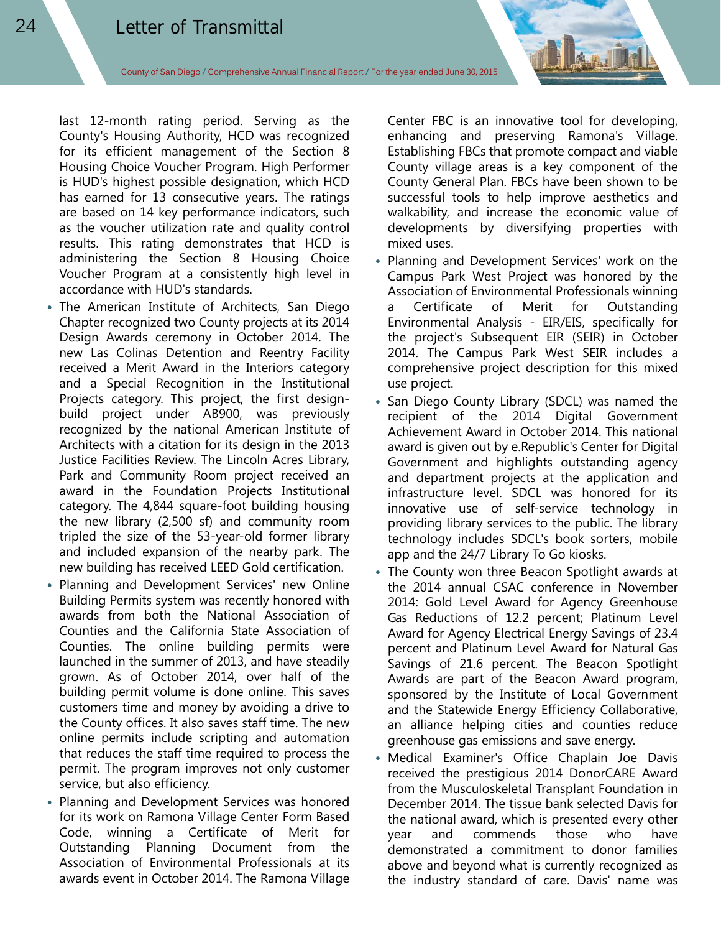last 12-month rating period. Serving as the County's Housing Authority, HCD was recognized for its efficient management of the Section 8 Housing Choice Voucher Program. High Performer is HUD's highest possible designation, which HCD has earned for 13 consecutive years. The ratings are based on 14 key performance indicators, such as the voucher utilization rate and quality control results. This rating demonstrates that HCD is administering the Section 8 Housing Choice Voucher Program at a consistently high level in accordance with HUD's standards.

- The American Institute of Architects, San Diego Chapter recognized two County projects at its 2014 Design Awards ceremony in October 2014. The new Las Colinas Detention and Reentry Facility received a Merit Award in the Interiors category and a Special Recognition in the Institutional Projects category. This project, the first designbuild project under AB900, was previously recognized by the national American Institute of Architects with a citation for its design in the 2013 Justice Facilities Review. The Lincoln Acres Library, Park and Community Room project received an award in the Foundation Projects Institutional category. The 4,844 square-foot building housing the new library (2,500 sf) and community room tripled the size of the 53-year-old former library and included expansion of the nearby park. The new building has received LEED Gold certification.
- Planning and Development Services' new Online Building Permits system was recently honored with awards from both the National Association of Counties and the California State Association of Counties. The online building permits were launched in the summer of 2013, and have steadily grown. As of October 2014, over half of the building permit volume is done online. This saves customers time and money by avoiding a drive to the County offices. It also saves staff time. The new online permits include scripting and automation that reduces the staff time required to process the permit. The program improves not only customer service, but also efficiency.
- Planning and Development Services was honored for its work on Ramona Village Center Form Based Code, winning a Certificate of Merit for Outstanding Planning Document from the Association of Environmental Professionals at its awards event in October 2014. The Ramona Village

Center FBC is an innovative tool for developing, enhancing and preserving Ramona's Village. Establishing FBCs that promote compact and viable County village areas is a key component of the County General Plan. FBCs have been shown to be successful tools to help improve aesthetics and walkability, and increase the economic value of developments by diversifying properties with mixed uses.

- Planning and Development Services' work on the Campus Park West Project was honored by the Association of Environmental Professionals winning a Certificate of Merit for Outstanding Environmental Analysis - EIR/EIS, specifically for the project's Subsequent EIR (SEIR) in October 2014. The Campus Park West SEIR includes a comprehensive project description for this mixed use project.
- San Diego County Library (SDCL) was named the recipient of the 2014 Digital Government Achievement Award in October 2014. This national award is given out by e.Republic's Center for Digital Government and highlights outstanding agency and department projects at the application and infrastructure level. SDCL was honored for its innovative use of self-service technology in providing library services to the public. The library technology includes SDCL's book sorters, mobile app and the 24/7 Library To Go kiosks.
- The County won three Beacon Spotlight awards at the 2014 annual CSAC conference in November 2014: Gold Level Award for Agency Greenhouse Gas Reductions of 12.2 percent; Platinum Level Award for Agency Electrical Energy Savings of 23.4 percent and Platinum Level Award for Natural Gas Savings of 21.6 percent. The Beacon Spotlight Awards are part of the Beacon Award program, sponsored by the Institute of Local Government and the Statewide Energy Efficiency Collaborative, an alliance helping cities and counties reduce greenhouse gas emissions and save energy.
- Medical Examiner's Office Chaplain Joe Davis received the prestigious 2014 DonorCARE Award from the Musculoskeletal Transplant Foundation in December 2014. The tissue bank selected Davis for the national award, which is presented every other year and commends those who have demonstrated a commitment to donor families above and beyond what is currently recognized as the industry standard of care. Davis' name was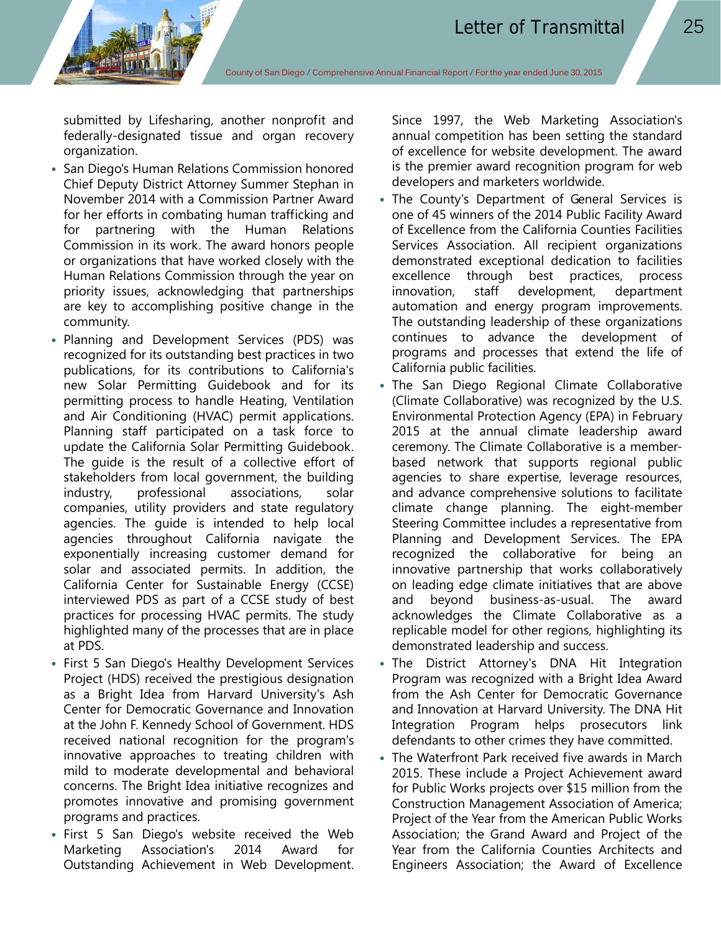submitted by Lifesharing, another nonprofit and federally-designated tissue and organ recovery organization.

- San Diego's Human Relations Commission honored Chief Deputy District Attorney Summer Stephan in November 2014 with a Commission Partner Award for her efforts in combating human trafficking and for partnering with the Human Relations Commission in its work. The award honors people or organizations that have worked closely with the Human Relations Commission through the year on priority issues, acknowledging that partnerships are key to accomplishing positive change in the community.
- Planning and Development Services (PDS) was recognized for its outstanding best practices in two publications, for its contributions to California's new Solar Permitting Guidebook and for its permitting process to handle Heating, Ventilation and Air Conditioning (HVAC) permit applications. Planning staff participated on a task force to update the California Solar Permitting Guidebook. The guide is the result of a collective effort of stakeholders from local government, the building industry, professional associations, solar companies, utility providers and state regulatory agencies. The guide is intended to help local agencies throughout California navigate the exponentially increasing customer demand for solar and associated permits. In addition, the California Center for Sustainable Energy (CCSE) interviewed PDS as part of a CCSE study of best practices for processing HVAC permits. The study highlighted many of the processes that are in place at PDS.
- First 5 San Diego's Healthy Development Services Project (HDS) received the prestigious designation as a Bright Idea from Harvard University's Ash Center for Democratic Governance and Innovation at the John F. Kennedy School of Government. HDS received national recognition for the program's innovative approaches to treating children with mild to moderate developmental and behavioral concerns. The Bright Idea initiative recognizes and promotes innovative and promising government programs and practices.
- First 5 San Diego's website received the Web Marketing Association's 2014 Award for Outstanding Achievement in Web Development.

Since 1997, the Web Marketing Association's annual competition has been setting the standard of excellence for website development. The award is the premier award recognition program for web developers and marketers worldwide.

- The County's Department of General Services is one of 45 winners of the 2014 Public Facility Award of Excellence from the California Counties Facilities Services Association. All recipient organizations demonstrated exceptional dedication to facilities excellence through best practices, process innovation, staff development, department automation and energy program improvements. The outstanding leadership of these organizations continues to advance the development of programs and processes that extend the life of California public facilities.
- The San Diego Regional Climate Collaborative (Climate Collaborative) was recognized by the U.S. Environmental Protection Agency (EPA) in February 2015 at the annual climate leadership award ceremony. The Climate Collaborative is a memberbased network that supports regional public agencies to share expertise, leverage resources, and advance comprehensive solutions to facilitate climate change planning. The eight-member Steering Committee includes a representative from Planning and Development Services. The EPA recognized the collaborative for being an innovative partnership that works collaboratively on leading edge climate initiatives that are above and beyond business-as-usual. The award acknowledges the Climate Collaborative as a replicable model for other regions, highlighting its demonstrated leadership and success.
- The District Attorney's DNA Hit Integration Program was recognized with a Bright Idea Award from the Ash Center for Democratic Governance and Innovation at Harvard University. The DNA Hit Integration Program helps prosecutors link defendants to other crimes they have committed.
- The Waterfront Park received five awards in March 2015. These include a Project Achievement award for Public Works projects over \$15 million from the Construction Management Association of America; Project of the Year from the American Public Works Association; the Grand Award and Project of the Year from the California Counties Architects and Engineers Association; the Award of Excellence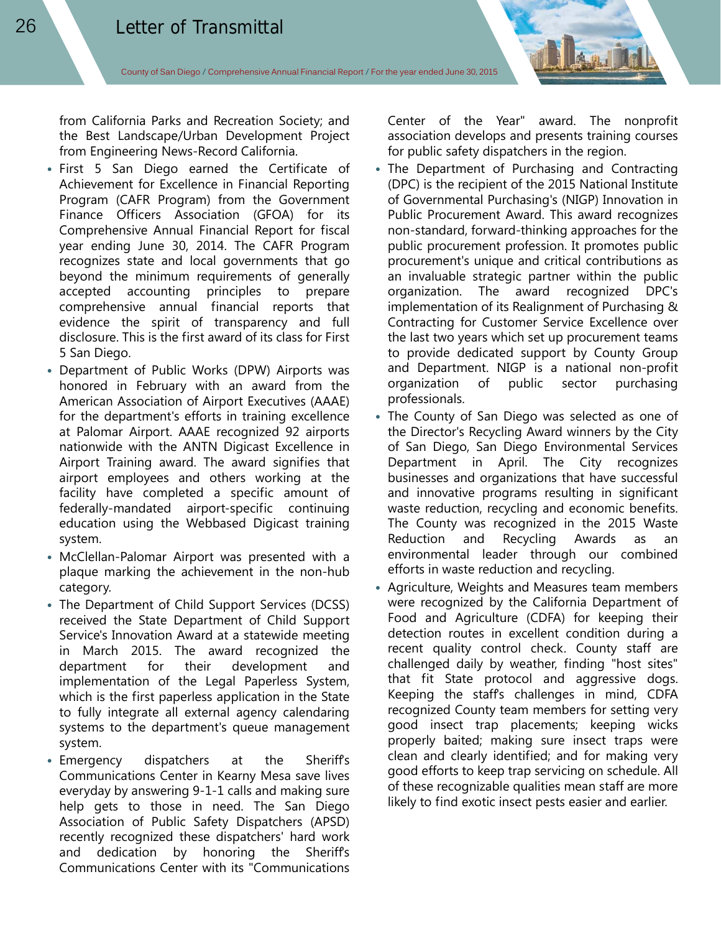from California Parks and Recreation Society; and the Best Landscape/Urban Development Project from Engineering News-Record California.

- First 5 San Diego earned the Certificate of Achievement for Excellence in Financial Reporting Program (CAFR Program) from the Government Finance Officers Association (GFOA) for its Comprehensive Annual Financial Report for fiscal year ending June 30, 2014. The CAFR Program recognizes state and local governments that go beyond the minimum requirements of generally accepted accounting principles to prepare comprehensive annual financial reports that evidence the spirit of transparency and full disclosure. This is the first award of its class for First 5 San Diego.
- Department of Public Works (DPW) Airports was honored in February with an award from the American Association of Airport Executives (AAAE) for the department's efforts in training excellence at Palomar Airport. AAAE recognized 92 airports nationwide with the ANTN Digicast Excellence in Airport Training award. The award signifies that airport employees and others working at the facility have completed a specific amount of federally-mandated airport-specific continuing education using the Webbased Digicast training system.
- McClellan-Palomar Airport was presented with a plaque marking the achievement in the non-hub category.
- The Department of Child Support Services (DCSS) received the State Department of Child Support Service's Innovation Award at a statewide meeting in March 2015. The award recognized the department for their development and implementation of the Legal Paperless System, which is the first paperless application in the State to fully integrate all external agency calendaring systems to the department's queue management system.
- Emergency dispatchers at the Sheriff's Communications Center in Kearny Mesa save lives everyday by answering 9-1-1 calls and making sure help gets to those in need. The San Diego Association of Public Safety Dispatchers (APSD) recently recognized these dispatchers' hard work and dedication by honoring the Sheriff's Communications Center with its "Communications

Center of the Year" award. The nonprofit association develops and presents training courses for public safety dispatchers in the region.

- The Department of Purchasing and Contracting (DPC) is the recipient of the 2015 National Institute of Governmental Purchasing's (NIGP) Innovation in Public Procurement Award. This award recognizes non-standard, forward-thinking approaches for the public procurement profession. It promotes public procurement's unique and critical contributions as an invaluable strategic partner within the public organization. The award recognized DPC's implementation of its Realignment of Purchasing & Contracting for Customer Service Excellence over the last two years which set up procurement teams to provide dedicated support by County Group and Department. NIGP is a national non-profit organization of public sector purchasing professionals.
- The County of San Diego was selected as one of the Director's Recycling Award winners by the City of San Diego, San Diego Environmental Services Department in April. The City recognizes businesses and organizations that have successful and innovative programs resulting in significant waste reduction, recycling and economic benefits. The County was recognized in the 2015 Waste Reduction and Recycling Awards as an environmental leader through our combined efforts in waste reduction and recycling.
- Agriculture, Weights and Measures team members were recognized by the California Department of Food and Agriculture (CDFA) for keeping their detection routes in excellent condition during a recent quality control check. County staff are challenged daily by weather, finding "host sites" that fit State protocol and aggressive dogs. Keeping the staff's challenges in mind, CDFA recognized County team members for setting very good insect trap placements; keeping wicks properly baited; making sure insect traps were clean and clearly identified; and for making very good efforts to keep trap servicing on schedule. All of these recognizable qualities mean staff are more likely to find exotic insect pests easier and earlier.